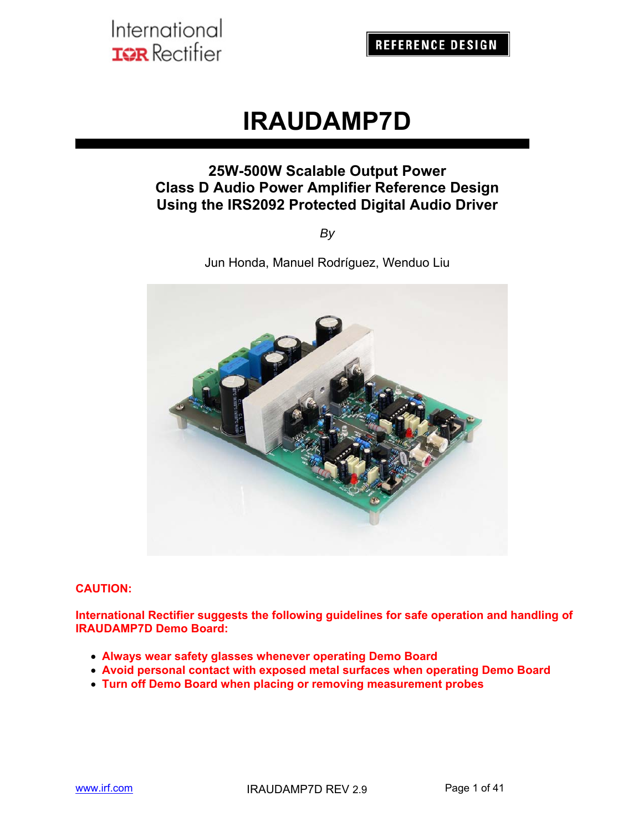**REFERENCE DESIGN** 

# **IRAUDAMP7D**

## **25W-500W Scalable Output Power Class D Audio Power Amplifier Reference Design Using the IRS2092 Protected Digital Audio Driver**

*By*

Jun Honda, Manuel Rodríguez, Wenduo Liu



#### **CAUTION:**

**International Rectifier suggests the following guidelines for safe operation and handling of IRAUDAMP7D Demo Board:** 

- **Always wear safety glasses whenever operating Demo Board**
- **Avoid personal contact with exposed metal surfaces when operating Demo Board**
- **Turn off Demo Board when placing or removing measurement probes**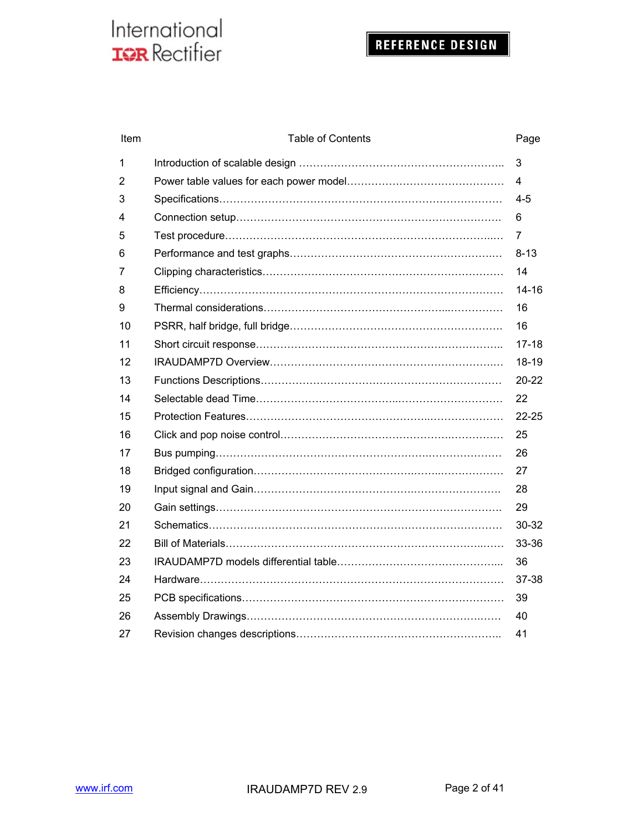| Item | <b>Table of Contents</b> | Page      |
|------|--------------------------|-----------|
| 1    |                          | 3         |
| 2    |                          | 4         |
| 3    |                          | $4 - 5$   |
| 4    |                          | 6         |
| 5    |                          | 7         |
| 6    |                          | $8 - 13$  |
| 7    |                          | 14        |
| 8    |                          | $14 - 16$ |
| 9    |                          | 16        |
| 10   |                          | 16        |
| 11   |                          | $17 - 18$ |
| 12   |                          | 18-19     |
| 13   |                          | $20 - 22$ |
| 14   |                          | 22        |
| 15   |                          | $22 - 25$ |
| 16   |                          | 25        |
| 17   |                          | 26        |
| 18   |                          | 27        |
| 19   |                          | 28        |
| 20   |                          | 29        |
| 21   |                          | 30-32     |
| 22   |                          | 33-36     |
| 23   |                          | 36        |
| 24   |                          | 37-38     |
| 25   |                          | 39        |
| 26   |                          | 40        |
| 27   |                          | 41        |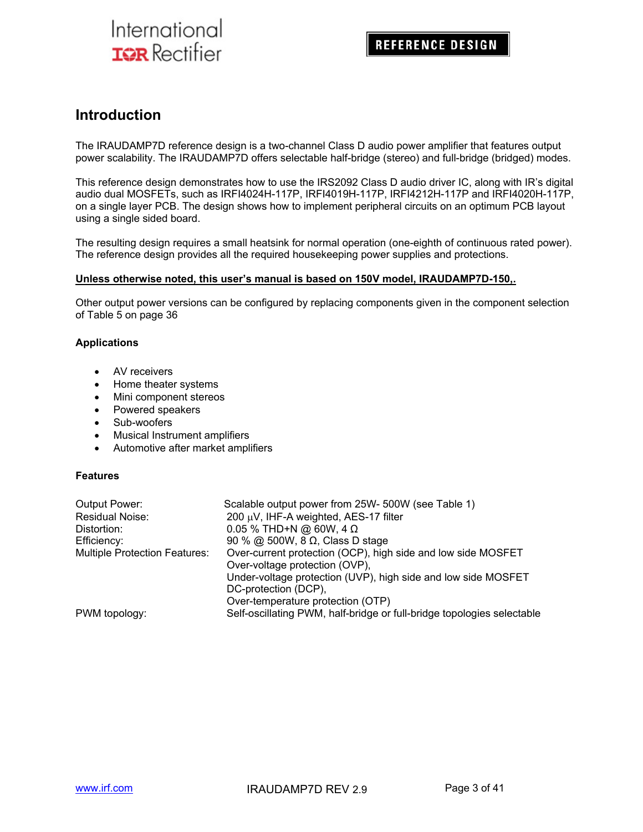## **Introduction**

The IRAUDAMP7D reference design is a two-channel Class D audio power amplifier that features output power scalability. The IRAUDAMP7D offers selectable half-bridge (stereo) and full-bridge (bridged) modes.

This reference design demonstrates how to use the IRS2092 Class D audio driver IC, along with IR's digital audio dual MOSFETs, such as IRFI4024H-117P, IRFI4019H-117P, IRFI4212H-117P and IRFI4020H-117P, on a single layer PCB. The design shows how to implement peripheral circuits on an optimum PCB layout using a single sided board.

The resulting design requires a small heatsink for normal operation (one-eighth of continuous rated power). The reference design provides all the required housekeeping power supplies and protections.

#### **Unless otherwise noted, this user's manual is based on 150V model, IRAUDAMP7D-150,.**

Other output power versions can be configured by replacing components given in the component selection of Table 5 on page 36

#### **Applications**

- AV receivers
- Home theater systems
- Mini component stereos
- Powered speakers
- Sub-woofers
- Musical Instrument amplifiers
- Automotive after market amplifiers

#### **Features**

| Output Power:                        | Scalable output power from 25W- 500W (see Table 1)                     |
|--------------------------------------|------------------------------------------------------------------------|
| <b>Residual Noise:</b>               | 200 μV, IHF-A weighted, AES-17 filter                                  |
| Distortion:                          | 0.05 % THD+N @ 60W, 4 Ω                                                |
| Efficiency:                          | 90 % @ 500W, 8 $\Omega$ , Class D stage                                |
| <b>Multiple Protection Features:</b> | Over-current protection (OCP), high side and low side MOSFET           |
|                                      | Over-voltage protection (OVP),                                         |
|                                      | Under-voltage protection (UVP), high side and low side MOSFET          |
|                                      | DC-protection (DCP),                                                   |
|                                      | Over-temperature protection (OTP)                                      |
| PWM topology:                        | Self-oscillating PWM, half-bridge or full-bridge topologies selectable |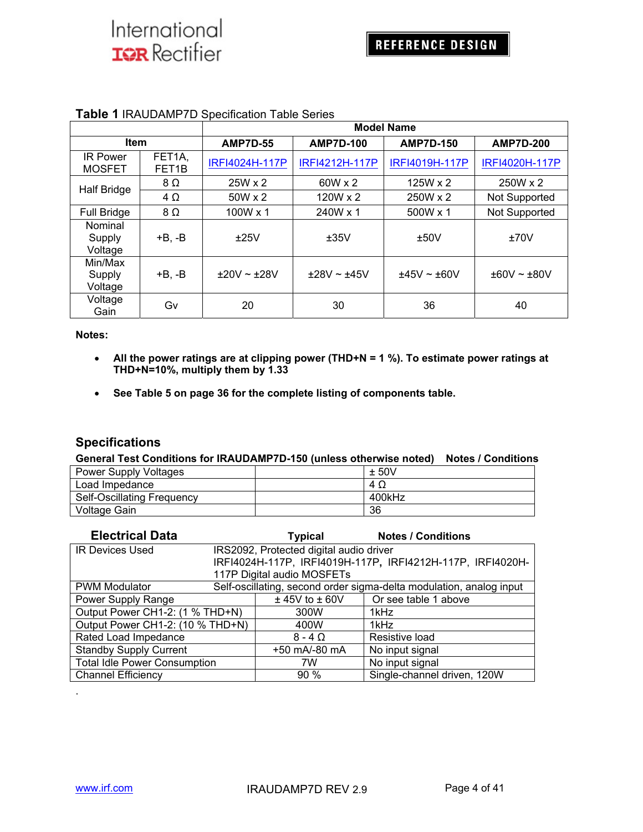|                                  |                              | <b>Model Name</b> |                  |                  |                      |
|----------------------------------|------------------------------|-------------------|------------------|------------------|----------------------|
| <b>Item</b>                      |                              | <b>AMP7D-55</b>   | <b>AMP7D-100</b> | <b>AMP7D-150</b> | <b>AMP7D-200</b>     |
| <b>IR Power</b><br><b>MOSFET</b> | FET1A,<br>FET <sub>1</sub> B | IRFI4024H-117P    | IRFI4212H-117P   | IRFI4019H-117P   | IRFI4020H-117P       |
| <b>Half Bridge</b>               | $8\Omega$                    | $25W \times 2$    | $60W \times 2$   | $125W \times 2$  | 250W x 2             |
|                                  | $4\Omega$                    | $50W \times 2$    | 120W x 2         | 250W x 2         | Not Supported        |
| <b>Full Bridge</b>               | $8\Omega$                    | 100W x 1          | 240W x 1         | 500W x 1         | <b>Not Supported</b> |
| Nominal<br>Supply<br>Voltage     | $+B, -B$                     | ±25V              | ±35V             | ±50V             | ±70V                 |
| Min/Max<br>Supply<br>Voltage     | $+B, -B$                     | $±20V ~+28V$      | ±28V ~±45V       | $±45V \sim ±60V$ | $±60V \sim ±80V$     |
| Voltage<br>Gain                  | G٧                           | 20                | 30               | 36               | 40                   |

### **Table 1** IRAUDAMP7D Specification Table Series

#### **Notes:**

- **All the power ratings are at clipping power (THD+N = 1 %). To estimate power ratings at THD+N=10%, multiply them by 1.33**
- **See Table 5 on page 36 for the complete listing of components table.**

### **Specifications**

#### **General Test Conditions for IRAUDAMP7D-150 (unless otherwise noted) Notes / Conditions**

| <b>Power Supply Voltages</b> | ± 50V  |
|------------------------------|--------|
| Load Impedance               | 4Ω     |
| Self-Oscillating Frequency   | 400kHz |
| Voltage Gain                 | 36     |

| <b>Electrical Data</b>              | Typical                                 | <b>Notes / Conditions</b>                                           |
|-------------------------------------|-----------------------------------------|---------------------------------------------------------------------|
| <b>IR Devices Used</b>              | IRS2092, Protected digital audio driver |                                                                     |
|                                     |                                         | IRFI4024H-117P, IRFI4019H-117P, IRFI4212H-117P, IRFI4020H-          |
|                                     | 117P Digital audio MOSFETs              |                                                                     |
| <b>PWM Modulator</b>                |                                         | Self-oscillating, second order sigma-delta modulation, analog input |
| Power Supply Range                  | $±$ 45V to $±$ 60V                      | Or see table 1 above                                                |
| Output Power CH1-2: (1 % THD+N)     | 300W                                    | 1kHz                                                                |
| Output Power CH1-2: (10 % THD+N)    | 400W                                    | 1kHz                                                                |
| Rated Load Impedance                | $8 - 4$ $\Omega$                        | Resistive load                                                      |
| <b>Standby Supply Current</b>       | +50 mA/-80 mA                           | No input signal                                                     |
| <b>Total Idle Power Consumption</b> | 7W                                      | No input signal                                                     |
| <b>Channel Efficiency</b>           | $90\%$                                  | Single-channel driven, 120W                                         |

.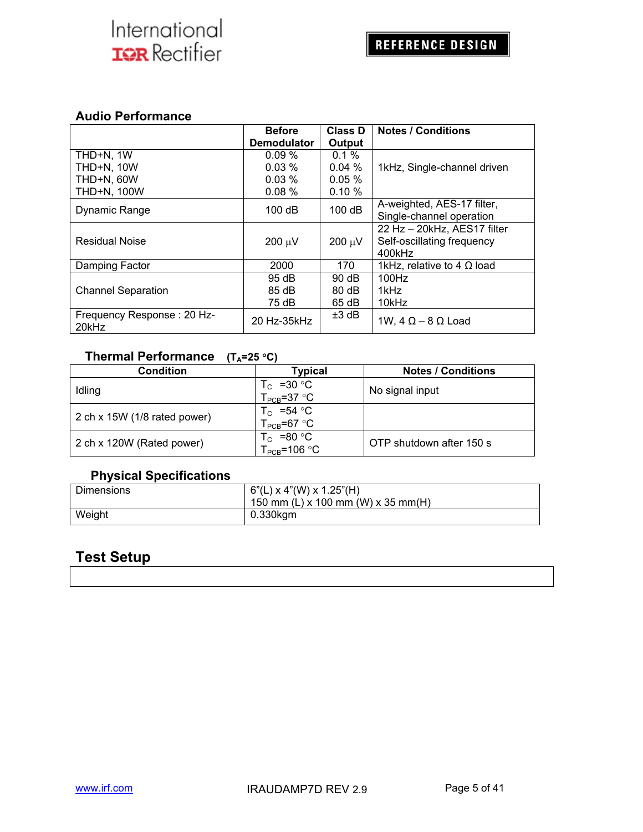### **Audio Performance**

|                                     | <b>Before</b><br><b>Demodulator</b> | Class D<br>Output | <b>Notes / Conditions</b>         |
|-------------------------------------|-------------------------------------|-------------------|-----------------------------------|
| THD+N, 1W                           | 0.09%                               | $0.1 \%$          |                                   |
| <b>THD+N, 10W</b>                   | $0.03\%$                            | $0.04\%$          | 1kHz, Single-channel driven       |
| THD+N, 60W                          | $0.03\%$                            | $0.05\%$          |                                   |
| <b>THD+N, 100W</b>                  | 0.08%                               | 0.10%             |                                   |
| Dynamic Range                       | 100dB                               | 100dB             | A-weighted, AES-17 filter,        |
|                                     |                                     |                   | Single-channel operation          |
|                                     |                                     |                   | 22 Hz - 20kHz, AES17 filter       |
| <b>Residual Noise</b>               | $200 \mu V$                         | $200 \mu V$       | Self-oscillating frequency        |
|                                     |                                     |                   | 400kHz                            |
| Damping Factor                      | 2000                                | 170               | 1kHz, relative to 4 $\Omega$ load |
|                                     | 95 dB                               | $90 \, dB$        | 100Hz                             |
| <b>Channel Separation</b>           | 85 dB                               | 80 dB             | 1kHz                              |
|                                     | 75 dB                               | 65 dB             | 10kHz                             |
| Frequency Response: 20 Hz-<br>20kHz | 20 Hz-35kHz                         | $±3$ dB           | 1W, $4 \Omega - 8 \Omega$ Load    |

## **Thermal Performance** (T<sub>A</sub>=25 °C)

| Condition                    | Typical                                  | <b>Notes / Conditions</b> |
|------------------------------|------------------------------------------|---------------------------|
| Idling                       | $T_c$ =30 °C<br>$T_{\text{PCB}}$ =37 °C  | No signal input           |
| 2 ch x 15W (1/8 rated power) | $T_c$ =54 °C<br>$T_{PCB} = 67 °C$        |                           |
| 2 ch x 120W (Rated power)    | $T_c$ =80 °C<br>$T_{\text{PCB}}$ =106 °C | OTP shutdown after 150 s  |

## **Physical Specifications**

| <b>Dimensions</b> | $  6"$ (L) x 4"(W) x 1.25"(H)<br>150 mm (L) x 100 mm (W) x 35 mm(H) |
|-------------------|---------------------------------------------------------------------|
| Weight            | 0.330kgm                                                            |

## **Test Setup**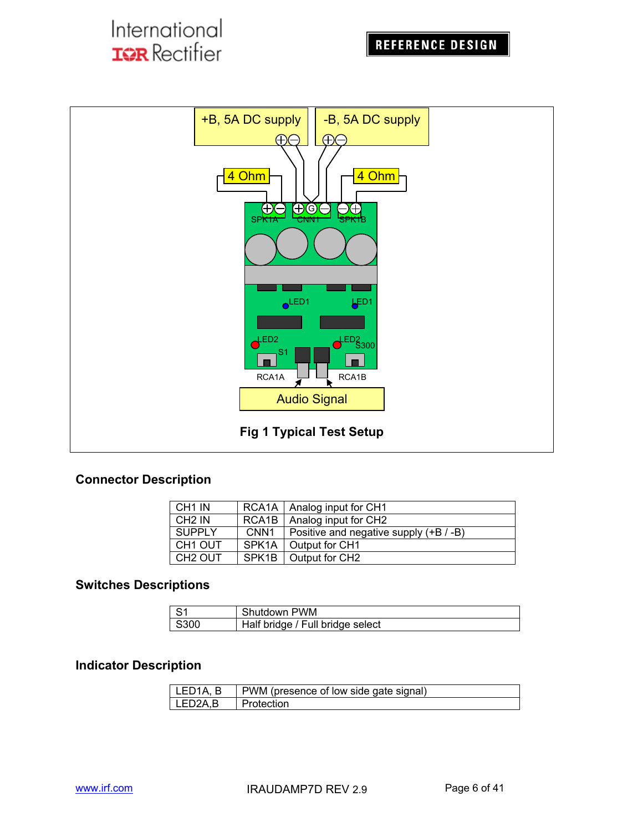

## **Connector Description**

| CH1 IN              |                  | RCA1A   Analog input for CH1             |
|---------------------|------------------|------------------------------------------|
| CH <sub>2</sub> IN  |                  | RCA1B   Analog input for CH2             |
| <b>SUPPLY</b>       | CNN <sub>1</sub> | Positive and negative supply $(+B / -B)$ |
| CH <sub>1</sub> OUT |                  | SPK1A   Output for CH1                   |
| CH <sub>2</sub> OUT |                  | SPK1B   Output for CH2                   |

## **Switches Descriptions**

| ∣ S1         | Shutdown PWM                     |
|--------------|----------------------------------|
| $\vert$ S300 | Half bridge / Full bridge select |

### **Indicator Description**

| I LED1A. B  | PWM (presence of low side gate signal) |
|-------------|----------------------------------------|
| $LED2A$ , B | Protection                             |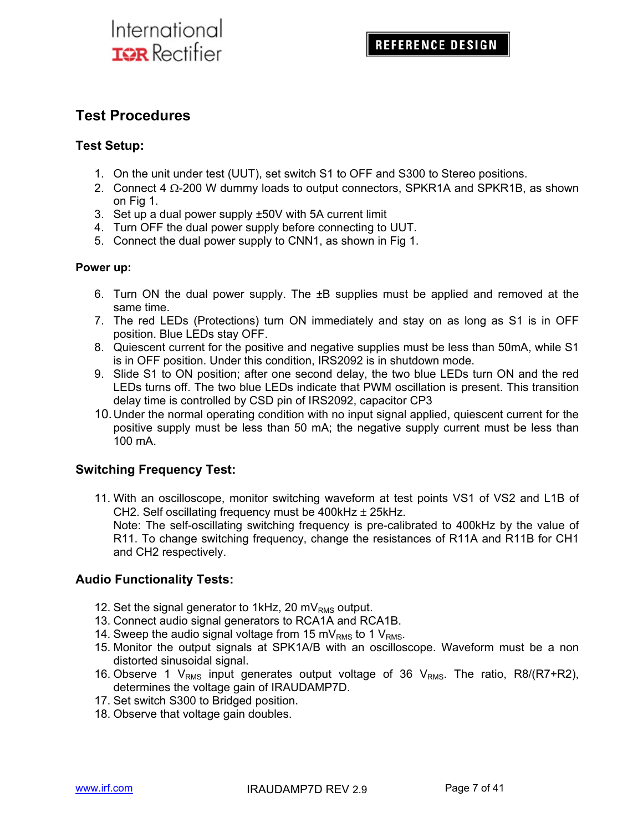## **Test Procedures**

### **Test Setup:**

- 1. On the unit under test (UUT), set switch S1 to OFF and S300 to Stereo positions.
- 2. Connect 4  $\Omega$ -200 W dummy loads to output connectors, SPKR1A and SPKR1B, as shown on Fig 1.
- 3. Set up a dual power supply ±50V with 5A current limit
- 4. Turn OFF the dual power supply before connecting to UUT.
- 5. Connect the dual power supply to CNN1, as shown in Fig 1.

### **Power up:**

- 6. Turn ON the dual power supply. The ±B supplies must be applied and removed at the same time.
- 7. The red LEDs (Protections) turn ON immediately and stay on as long as S1 is in OFF position. Blue LEDs stay OFF.
- 8. Quiescent current for the positive and negative supplies must be less than 50mA, while S1 is in OFF position. Under this condition, IRS2092 is in shutdown mode.
- 9. Slide S1 to ON position; after one second delay, the two blue LEDs turn ON and the red LEDs turns off. The two blue LEDs indicate that PWM oscillation is present. This transition delay time is controlled by CSD pin of IRS2092, capacitor CP3
- 10. Under the normal operating condition with no input signal applied, quiescent current for the positive supply must be less than 50 mA; the negative supply current must be less than 100 mA.

## **Switching Frequency Test:**

11. With an oscilloscope, monitor switching waveform at test points VS1 of VS2 and L1B of CH2. Self oscillating frequency must be  $400$ kHz  $\pm$  25kHz. Note: The self-oscillating switching frequency is pre-calibrated to 400kHz by the value of R11. To change switching frequency, change the resistances of R11A and R11B for CH1 and CH2 respectively.

## **Audio Functionality Tests:**

- 12. Set the signal generator to 1kHz, 20 m $V_{RMS}$  output.
- 13. Connect audio signal generators to RCA1A and RCA1B.
- 14. Sweep the audio signal voltage from 15 mV<sub>RMS</sub> to 1 V<sub>RMS</sub>.
- 15. Monitor the output signals at SPK1A/B with an oscilloscope. Waveform must be a non distorted sinusoidal signal.
- 16. Observe 1  $V_{RMS}$  input generates output voltage of 36  $V_{RMS}$ . The ratio, R8/(R7+R2), determines the voltage gain of IRAUDAMP7D.
- 17. Set switch S300 to Bridged position.
- 18. Observe that voltage gain doubles.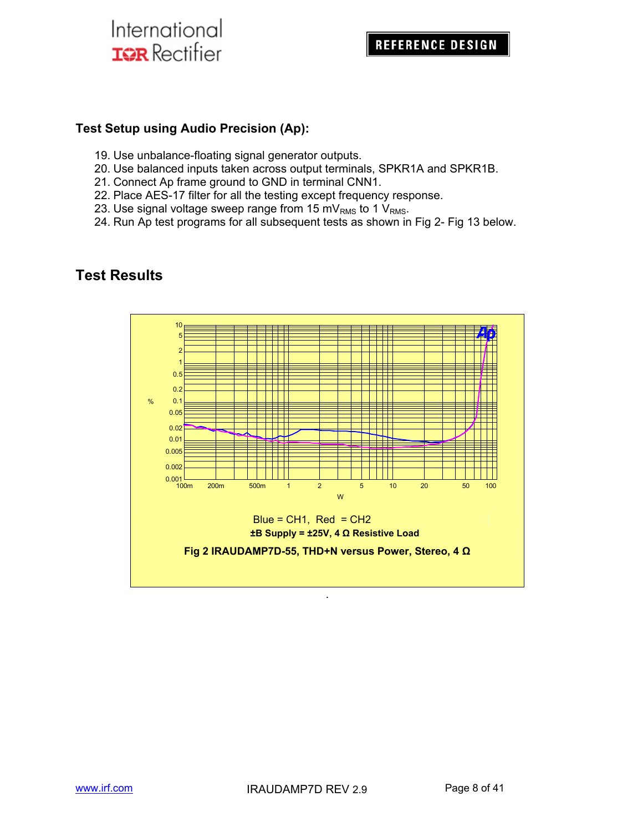## **Test Setup using Audio Precision (Ap):**

- 19. Use unbalance-floating signal generator outputs.
- 20. Use balanced inputs taken across output terminals, SPKR1A and SPKR1B.
- 21. Connect Ap frame ground to GND in terminal CNN1.
- 22. Place AES-17 filter for all the testing except frequency response.
- 23. Use signal voltage sweep range from 15 mV<sub>RMS</sub> to 1 V<sub>RMS</sub>.
- 24. Run Ap test programs for all subsequent tests as shown in Fig 2- Fig 13 below.



## **Test Results**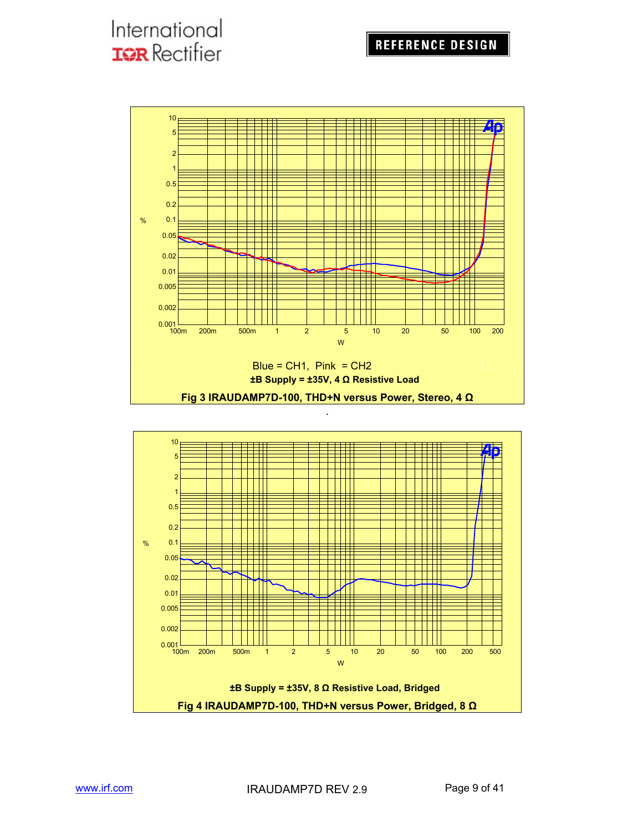## **REFERENCE DESIGN**

## International **IQR** Rectifier



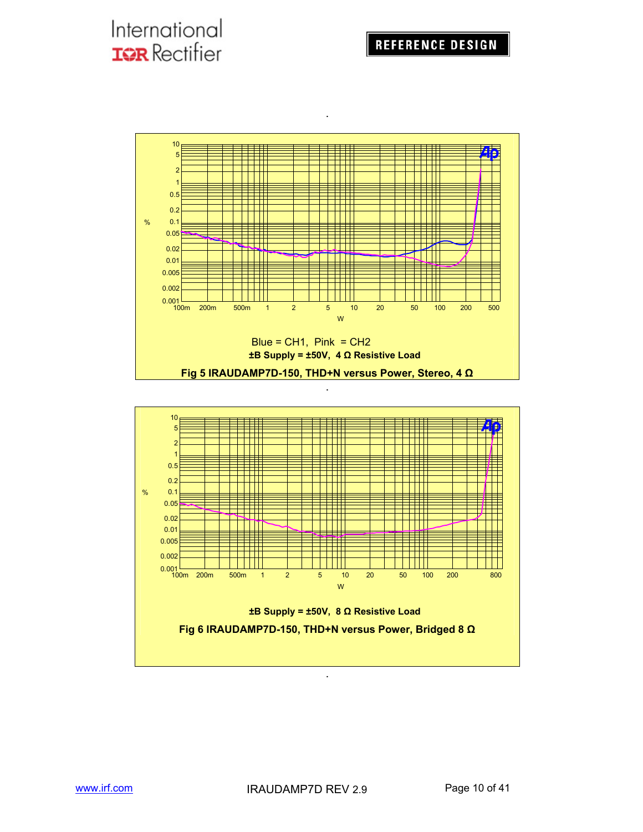

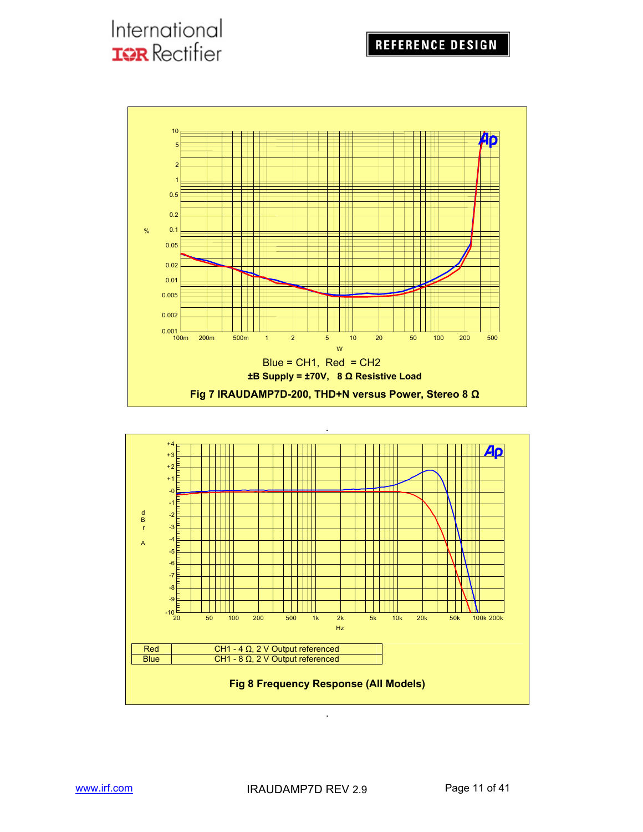

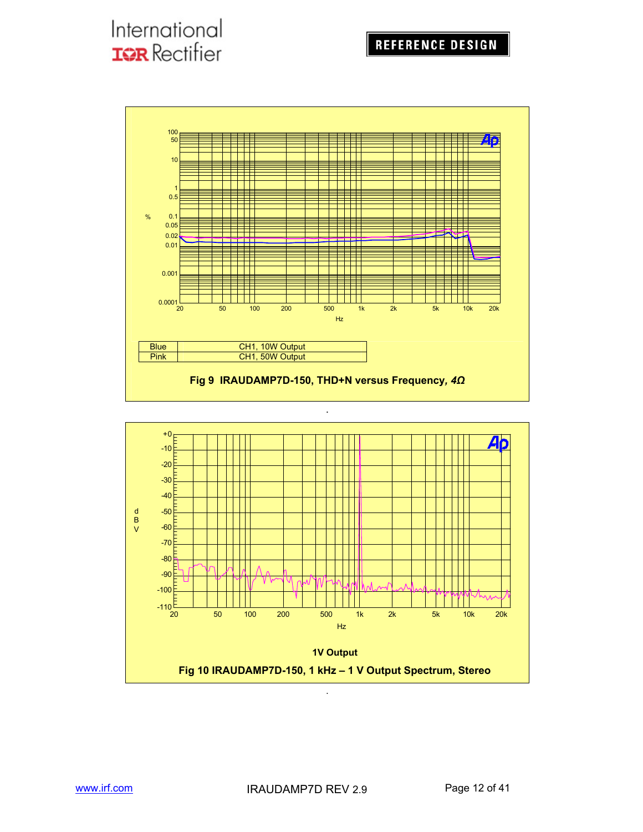

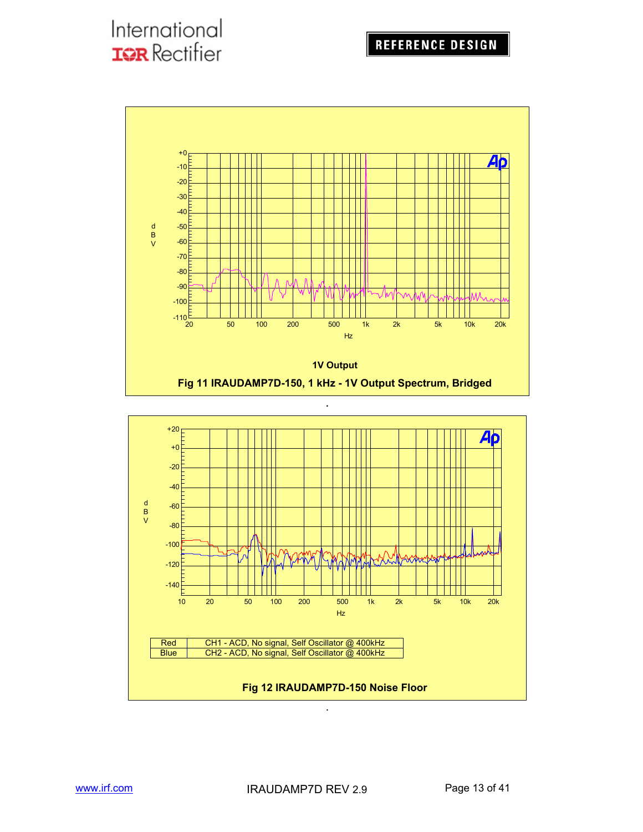

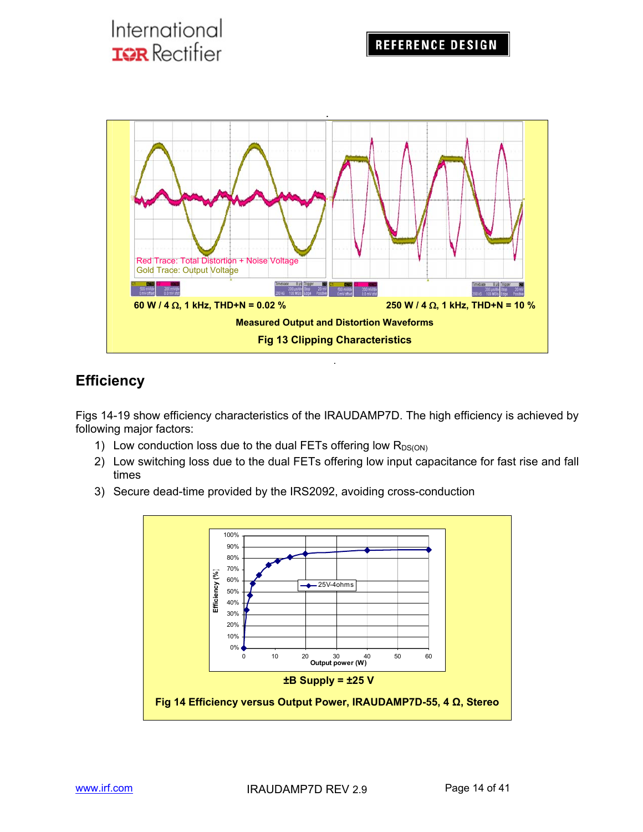

## **Efficiency**

Figs 14-19 show efficiency characteristics of the IRAUDAMP7D. The high efficiency is achieved by following major factors:

- 1) Low conduction loss due to the dual FETs offering low  $R_{DS(ON)}$
- 2) Low switching loss due to the dual FETs offering low input capacitance for fast rise and fall times
- 3) Secure dead-time provided by the IRS2092, avoiding cross-conduction

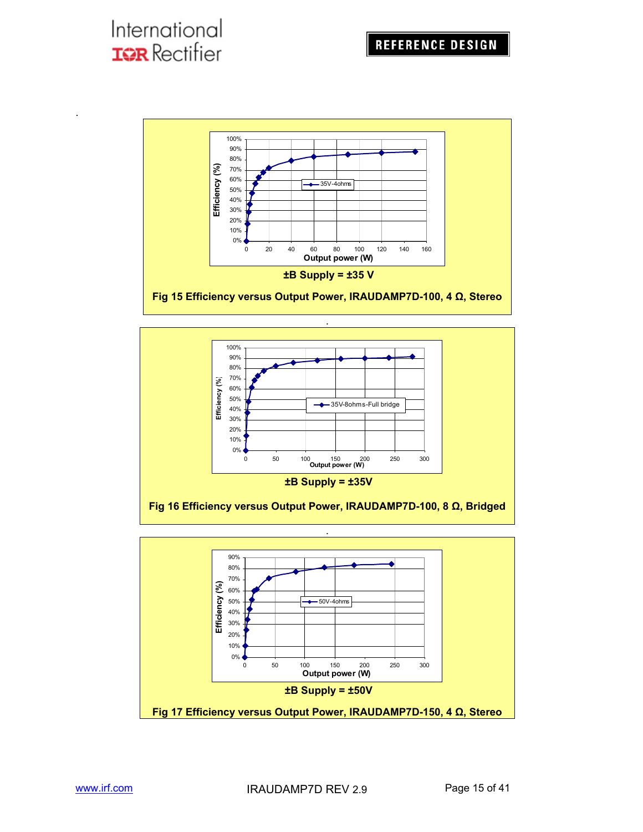.





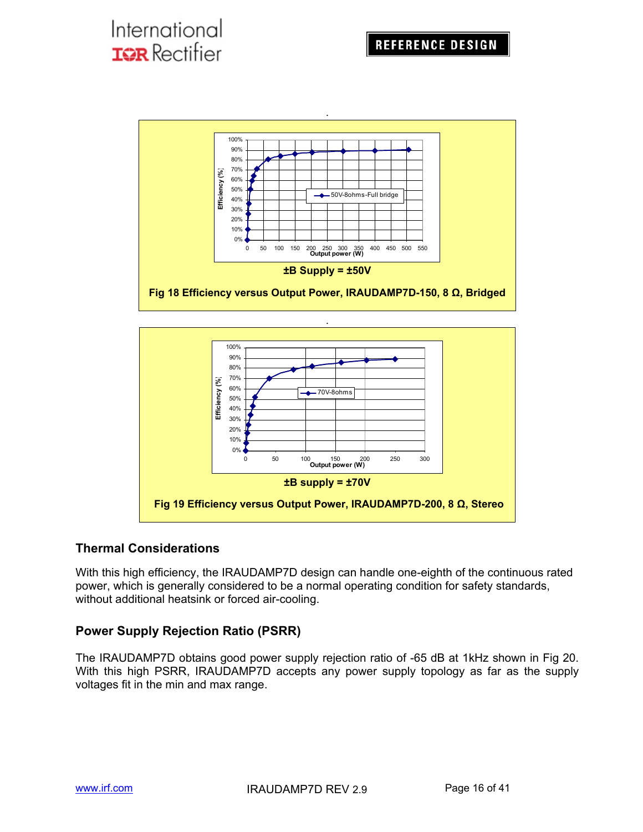



## **Thermal Considerations**

With this high efficiency, the IRAUDAMP7D design can handle one-eighth of the continuous rated power, which is generally considered to be a normal operating condition for safety standards, without additional heatsink or forced air-cooling.

## **Power Supply Rejection Ratio (PSRR)**

The IRAUDAMP7D obtains good power supply rejection ratio of -65 dB at 1kHz shown in Fig 20. With this high PSRR, IRAUDAMP7D accepts any power supply topology as far as the supply voltages fit in the min and max range.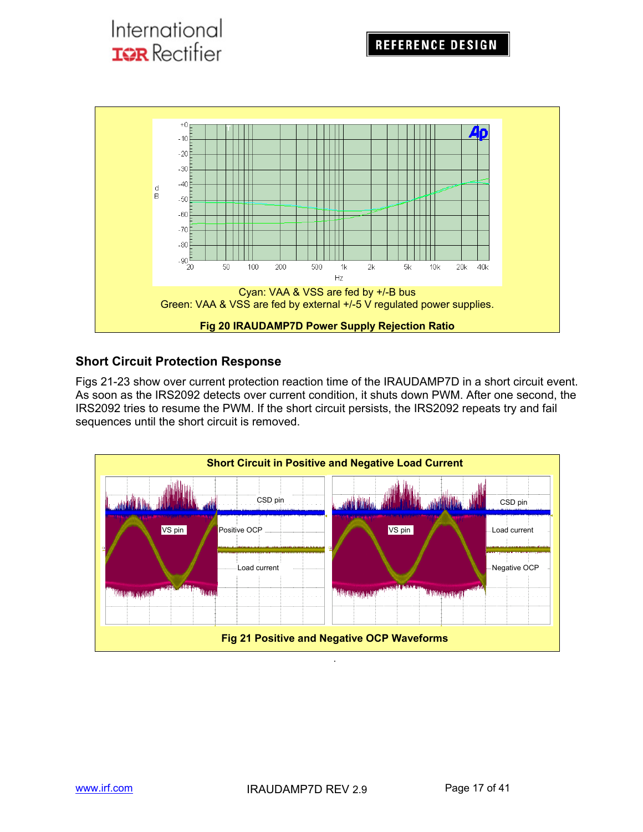

## **Short Circuit Protection Response**

International

**TOR** Rectifier

Figs 21-23 show over current protection reaction time of the IRAUDAMP7D in a short circuit event. As soon as the IRS2092 detects over current condition, it shuts down PWM. After one second, the IRS2092 tries to resume the PWM. If the short circuit persists, the IRS2092 repeats try and fail sequences until the short circuit is removed.

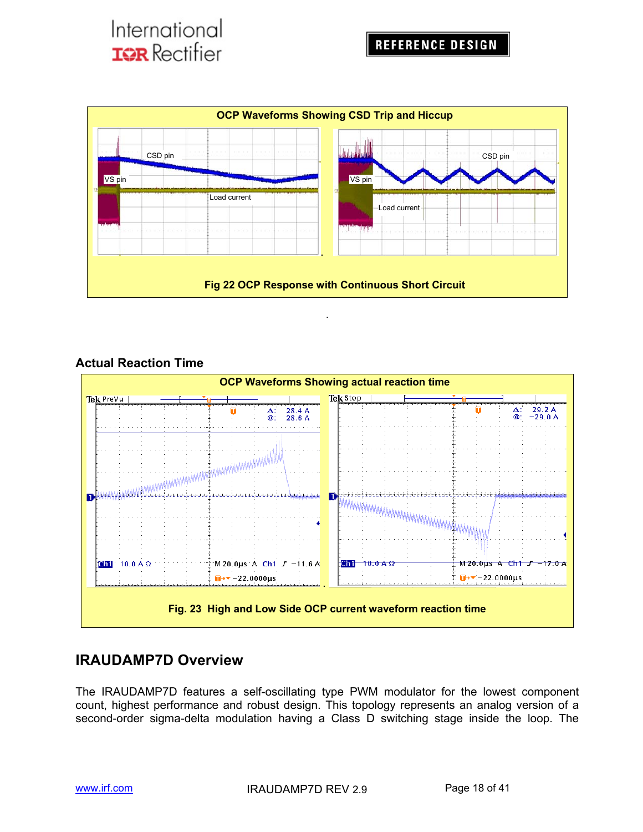

## **Actual Reaction Time**



## **IRAUDAMP7D Overview**

The IRAUDAMP7D features a self-oscillating type PWM modulator for the lowest component count, highest performance and robust design. This topology represents an analog version of a second-order sigma-delta modulation having a Class D switching stage inside the loop. The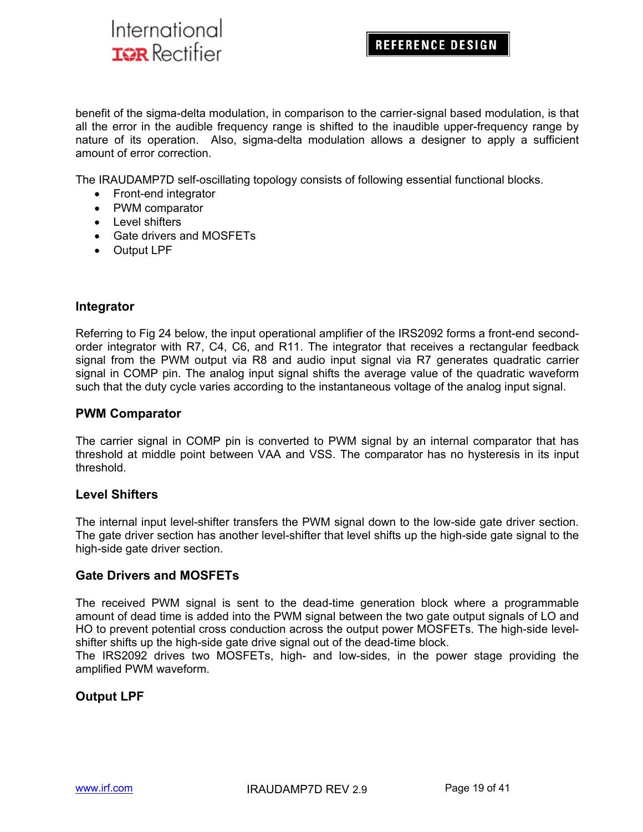## **REFERENCE DESIGN**

benefit of the sigma-delta modulation, in comparison to the carrier-signal based modulation, is that all the error in the audible frequency range is shifted to the inaudible upper-frequency range by nature of its operation. Also, sigma-delta modulation allows a designer to apply a sufficient amount of error correction.

The IRAUDAMP7D self-oscillating topology consists of following essential functional blocks.

- Front-end integrator
- PWM comparator
- Level shifters
- Gate drivers and MOSFETs
- Output LPF

### **Integrator**

Referring to Fig 24 below, the input operational amplifier of the IRS2092 forms a front-end secondorder integrator with R7, C4, C6, and R11. The integrator that receives a rectangular feedback signal from the PWM output via R8 and audio input signal via R7 generates quadratic carrier signal in COMP pin. The analog input signal shifts the average value of the quadratic waveform such that the duty cycle varies according to the instantaneous voltage of the analog input signal.

#### **PWM Comparator**

The carrier signal in COMP pin is converted to PWM signal by an internal comparator that has threshold at middle point between VAA and VSS. The comparator has no hysteresis in its input threshold.

#### **Level Shifters**

The internal input level-shifter transfers the PWM signal down to the low-side gate driver section. The gate driver section has another level-shifter that level shifts up the high-side gate signal to the high-side gate driver section.

#### **Gate Drivers and MOSFETs**

The received PWM signal is sent to the dead-time generation block where a programmable amount of dead time is added into the PWM signal between the two gate output signals of LO and HO to prevent potential cross conduction across the output power MOSFETs. The high-side levelshifter shifts up the high-side gate drive signal out of the dead-time block.

The IRS2092 drives two MOSFETs, high- and low-sides, in the power stage providing the amplified PWM waveform.

### **Output LPF**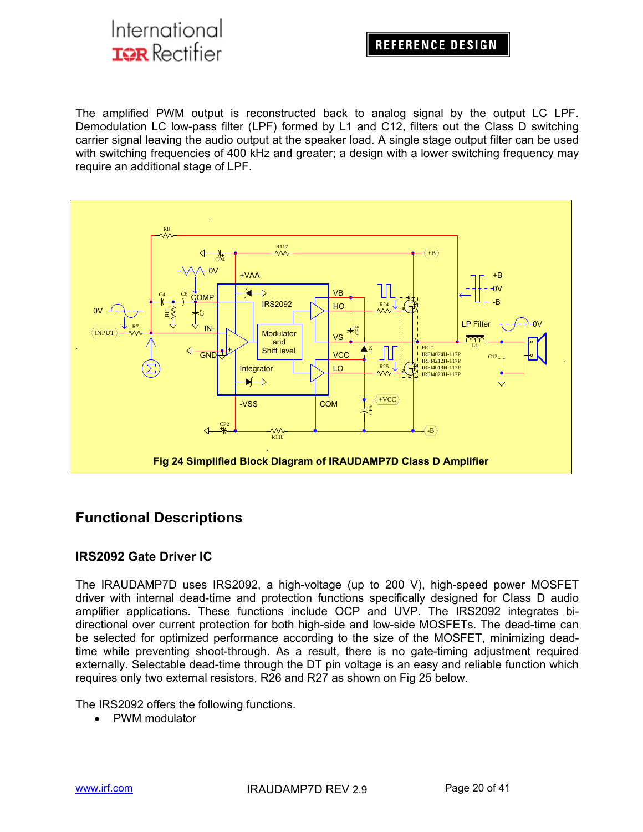## **REFERENCE DESIGN**

The amplified PWM output is reconstructed back to analog signal by the output LC LPF. Demodulation LC low-pass filter (LPF) formed by L1 and C12, filters out the Class D switching carrier signal leaving the audio output at the speaker load. A single stage output filter can be used with switching frequencies of 400 kHz and greater; a design with a lower switching frequency may require an additional stage of LPF.



## **Functional Descriptions**

### **IRS2092 Gate Driver IC**

The IRAUDAMP7D uses IRS2092, a high-voltage (up to 200 V), high-speed power MOSFET driver with internal dead-time and protection functions specifically designed for Class D audio amplifier applications. These functions include OCP and UVP. The IRS2092 integrates bidirectional over current protection for both high-side and low-side MOSFETs. The dead-time can be selected for optimized performance according to the size of the MOSFET, minimizing deadtime while preventing shoot-through. As a result, there is no gate-timing adjustment required externally. Selectable dead-time through the DT pin voltage is an easy and reliable function which requires only two external resistors, R26 and R27 as shown on Fig 25 below.

The IRS2092 offers the following functions.

PWM modulator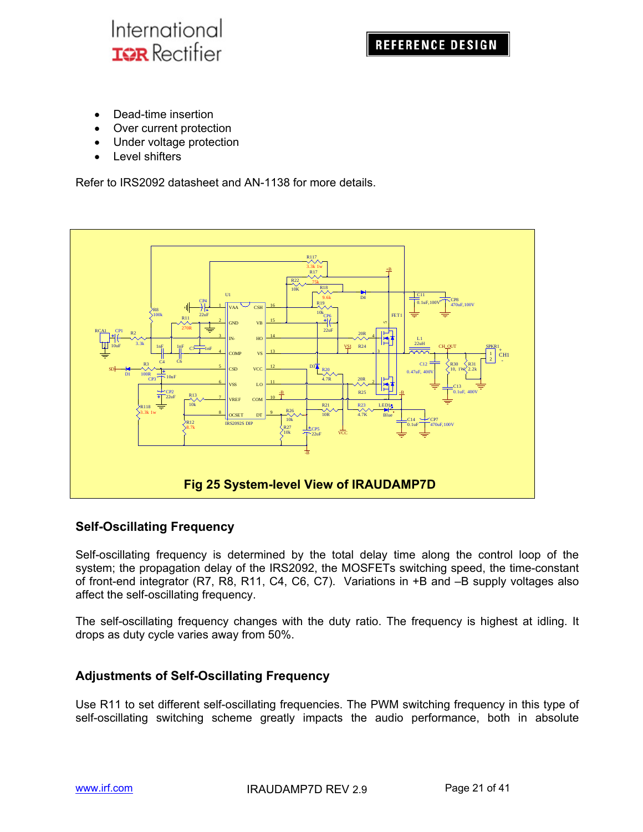

- Dead-time insertion
- Over current protection
- Under voltage protection
- Level shifters

Refer to IRS2092 datasheet and AN-1138 for more details.



### **Self-Oscillating Frequency**

Self-oscillating frequency is determined by the total delay time along the control loop of the system; the propagation delay of the IRS2092, the MOSFETs switching speed, the time-constant of front-end integrator (R7, R8, R11, C4, C6, C7). Variations in +B and –B supply voltages also affect the self-oscillating frequency.

The self-oscillating frequency changes with the duty ratio. The frequency is highest at idling. It drops as duty cycle varies away from 50%.

### **Adjustments of Self-Oscillating Frequency**

Use R11 to set different self-oscillating frequencies. The PWM switching frequency in this type of self-oscillating switching scheme greatly impacts the audio performance, both in absolute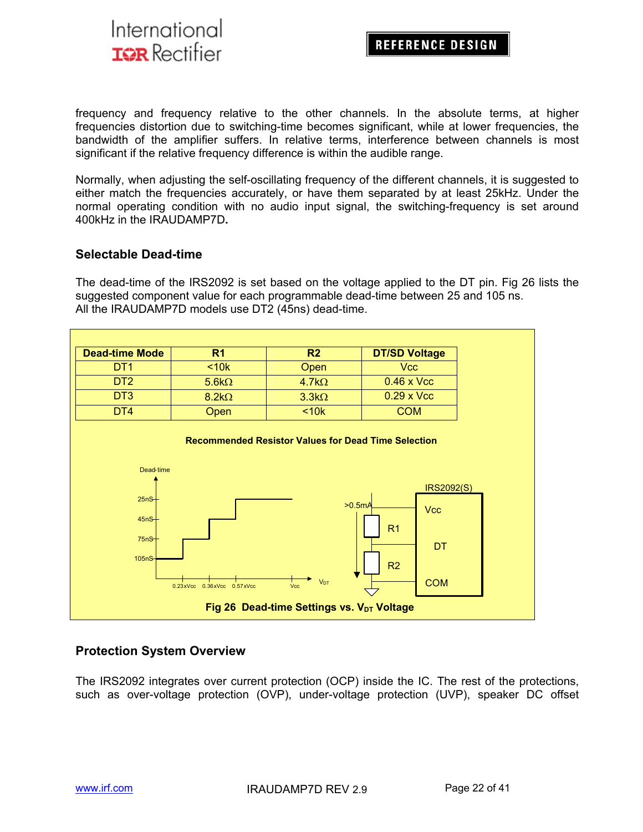

frequency and frequency relative to the other channels. In the absolute terms, at higher frequencies distortion due to switching-time becomes significant, while at lower frequencies, the bandwidth of the amplifier suffers. In relative terms, interference between channels is most significant if the relative frequency difference is within the audible range.

Normally, when adjusting the self-oscillating frequency of the different channels, it is suggested to either match the frequencies accurately, or have them separated by at least 25kHz. Under the normal operating condition with no audio input signal, the switching-frequency is set around 400kHz in the IRAUDAMP7D**.**

### **Selectable Dead-time**

The dead-time of the IRS2092 is set based on the voltage applied to the DT pin. Fig 26 lists the suggested component value for each programmable dead-time between 25 and 105 ns. All the IRAUDAMP7D models use DT2 (45ns) dead-time.

| <b>Dead-time Mode</b> | R1           | R <sub>2</sub> | <b>DT/SD Voltage</b> |
|-----------------------|--------------|----------------|----------------------|
| DT <sub>1</sub>       | < 10k        | Open           | <b>Vcc</b>           |
| DT <sub>2</sub>       | $5.6k\Omega$ | $4.7k\Omega$   | $0.46 \times$ Vcc    |
| D <sub>T</sub> 3      | $8.2k\Omega$ | $3.3k\Omega$   | $0.29 \times$ Vcc    |
| DT4                   | Open         | < 10k          | <b>COM</b>           |



### **Protection System Overview**

The IRS2092 integrates over current protection (OCP) inside the IC. The rest of the protections, such as over-voltage protection (OVP), under-voltage protection (UVP), speaker DC offset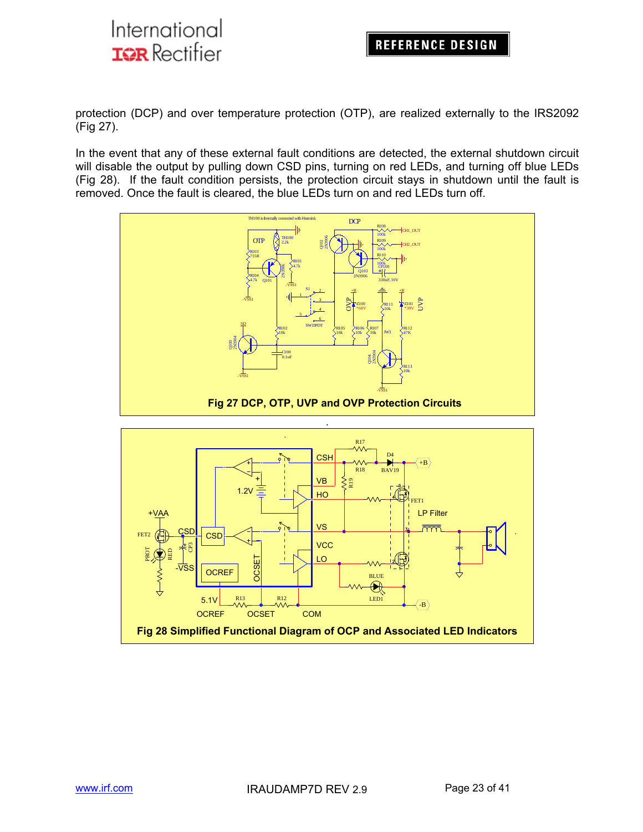protection (DCP) and over temperature protection (OTP), are realized externally to the IRS2092 (Fig 27).

In the event that any of these external fault conditions are detected, the external shutdown circuit will disable the output by pulling down CSD pins, turning on red LEDs, and turning off blue LEDs (Fig 28). If the fault condition persists, the protection circuit stays in shutdown until the fault is removed. Once the fault is cleared, the blue LEDs turn on and red LEDs turn off.



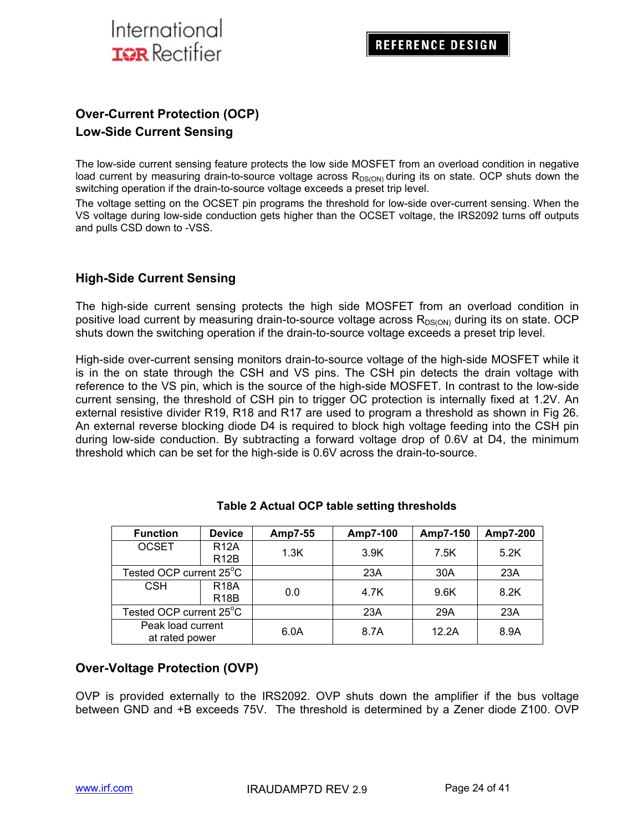

## **Over-Current Protection (OCP) Low-Side Current Sensing**

The low-side current sensing feature protects the low side MOSFET from an overload condition in negative load current by measuring drain-to-source voltage across  $R_{DS(ON)}$  during its on state. OCP shuts down the switching operation if the drain-to-source voltage exceeds a preset trip level.

The voltage setting on the OCSET pin programs the threshold for low-side over-current sensing. When the VS voltage during low-side conduction gets higher than the OCSET voltage, the IRS2092 turns off outputs and pulls CSD down to -VSS.

### **High-Side Current Sensing**

The high-side current sensing protects the high side MOSFET from an overload condition in positive load current by measuring drain-to-source voltage across  $R_{DS(ON)}$  during its on state. OCP shuts down the switching operation if the drain-to-source voltage exceeds a preset trip level.

High-side over-current sensing monitors drain-to-source voltage of the high-side MOSFET while it is in the on state through the CSH and VS pins. The CSH pin detects the drain voltage with reference to the VS pin, which is the source of the high-side MOSFET. In contrast to the low-side current sensing, the threshold of CSH pin to trigger OC protection is internally fixed at 1.2V. An external resistive divider R19, R18 and R17 are used to program a threshold as shown in Fig 26. An external reverse blocking diode D4 is required to block high voltage feeding into the CSH pin during low-side conduction. By subtracting a forward voltage drop of 0.6V at D4, the minimum threshold which can be set for the high-side is 0.6V across the drain-to-source.

| <b>Function</b>                     | <b>Device</b>                    | Amp7-55 | Amp7-100 | Amp7-150 | Amp7-200 |
|-------------------------------------|----------------------------------|---------|----------|----------|----------|
| <b>OCSET</b>                        | <b>R12A</b><br>R <sub>12</sub> B | 1.3K    | 3.9K     | 7.5K     | 5.2K     |
| Tested OCP current 25°C             |                                  |         | 23A      | 30A      | 23A      |
| <b>CSH</b>                          | <b>R18A</b><br>R <sub>18</sub> B | 0.0     | 4.7K     | 9.6K     | 8.2K     |
| Tested OCP current 25°C             |                                  |         | 23A      | 29A      | 23A      |
| Peak load current<br>at rated power |                                  | 6.0A    | 8.7A     | 12.2A    | 8.9A     |

### **Table 2 Actual OCP table setting thresholds**

### **Over-Voltage Protection (OVP)**

OVP is provided externally to the IRS2092. OVP shuts down the amplifier if the bus voltage between GND and +B exceeds 75V. The threshold is determined by a Zener diode Z100. OVP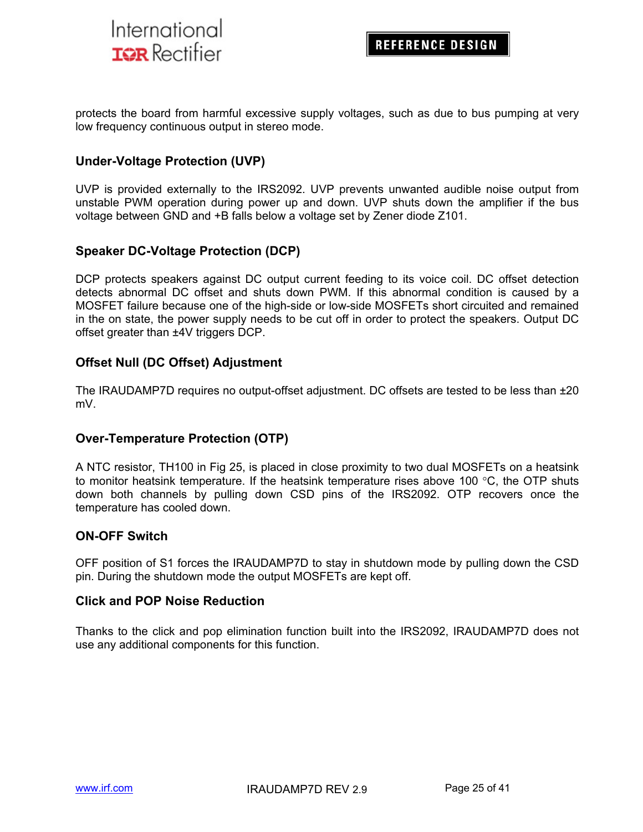

protects the board from harmful excessive supply voltages, such as due to bus pumping at very low frequency continuous output in stereo mode.

### **Under-Voltage Protection (UVP)**

UVP is provided externally to the IRS2092. UVP prevents unwanted audible noise output from unstable PWM operation during power up and down. UVP shuts down the amplifier if the bus voltage between GND and +B falls below a voltage set by Zener diode Z101.

### **Speaker DC-Voltage Protection (DCP)**

DCP protects speakers against DC output current feeding to its voice coil. DC offset detection detects abnormal DC offset and shuts down PWM. If this abnormal condition is caused by a MOSFET failure because one of the high-side or low-side MOSFETs short circuited and remained in the on state, the power supply needs to be cut off in order to protect the speakers. Output DC offset greater than ±4V triggers DCP.

### **Offset Null (DC Offset) Adjustment**

The IRAUDAMP7D requires no output-offset adjustment. DC offsets are tested to be less than ±20 mV.

### **Over-Temperature Protection (OTP)**

A NTC resistor, TH100 in Fig 25, is placed in close proximity to two dual MOSFETs on a heatsink to monitor heatsink temperature. If the heatsink temperature rises above 100  $\degree$ C, the OTP shuts down both channels by pulling down CSD pins of the IRS2092. OTP recovers once the temperature has cooled down.

### **ON-OFF Switch**

OFF position of S1 forces the IRAUDAMP7D to stay in shutdown mode by pulling down the CSD pin. During the shutdown mode the output MOSFETs are kept off.

#### **Click and POP Noise Reduction**

Thanks to the click and pop elimination function built into the IRS2092, IRAUDAMP7D does not use any additional components for this function.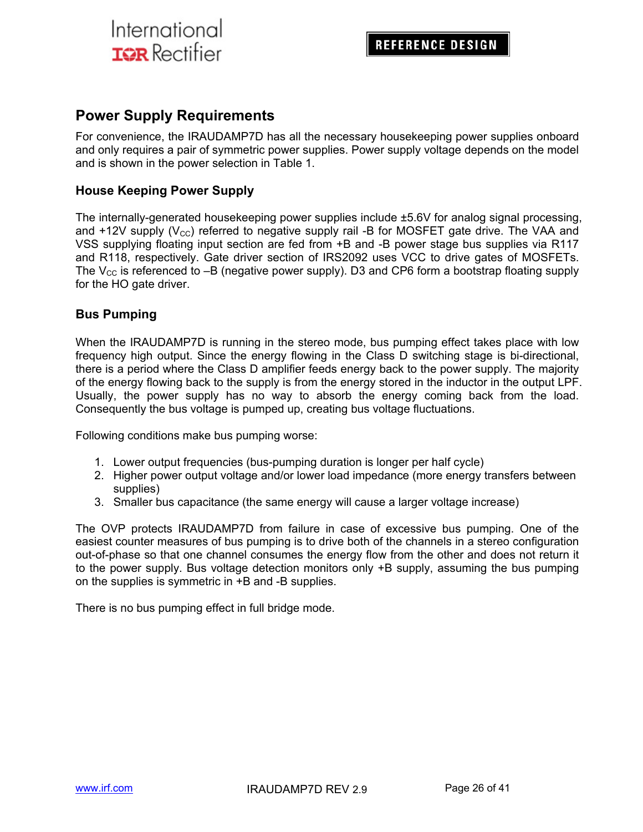## **Power Supply Requirements**

For convenience, the IRAUDAMP7D has all the necessary housekeeping power supplies onboard and only requires a pair of symmetric power supplies. Power supply voltage depends on the model and is shown in the power selection in Table 1.

### **House Keeping Power Supply**

The internally-generated housekeeping power supplies include ±5.6V for analog signal processing, and  $+12V$  supply ( $V_{\text{cc}}$ ) referred to negative supply rail -B for MOSFET gate drive. The VAA and VSS supplying floating input section are fed from +B and -B power stage bus supplies via R117 and R118, respectively. Gate driver section of IRS2092 uses VCC to drive gates of MOSFETs. The  $V_{CC}$  is referenced to  $-B$  (negative power supply). D3 and CP6 form a bootstrap floating supply for the HO gate driver.

### **Bus Pumping**

When the IRAUDAMP7D is running in the stereo mode, bus pumping effect takes place with low frequency high output. Since the energy flowing in the Class D switching stage is bi-directional, there is a period where the Class D amplifier feeds energy back to the power supply. The majority of the energy flowing back to the supply is from the energy stored in the inductor in the output LPF. Usually, the power supply has no way to absorb the energy coming back from the load. Consequently the bus voltage is pumped up, creating bus voltage fluctuations.

Following conditions make bus pumping worse:

- 1. Lower output frequencies (bus-pumping duration is longer per half cycle)
- 2. Higher power output voltage and/or lower load impedance (more energy transfers between supplies)
- 3. Smaller bus capacitance (the same energy will cause a larger voltage increase)

The OVP protects IRAUDAMP7D from failure in case of excessive bus pumping. One of the easiest counter measures of bus pumping is to drive both of the channels in a stereo configuration out-of-phase so that one channel consumes the energy flow from the other and does not return it to the power supply. Bus voltage detection monitors only +B supply, assuming the bus pumping on the supplies is symmetric in +B and -B supplies.

There is no bus pumping effect in full bridge mode.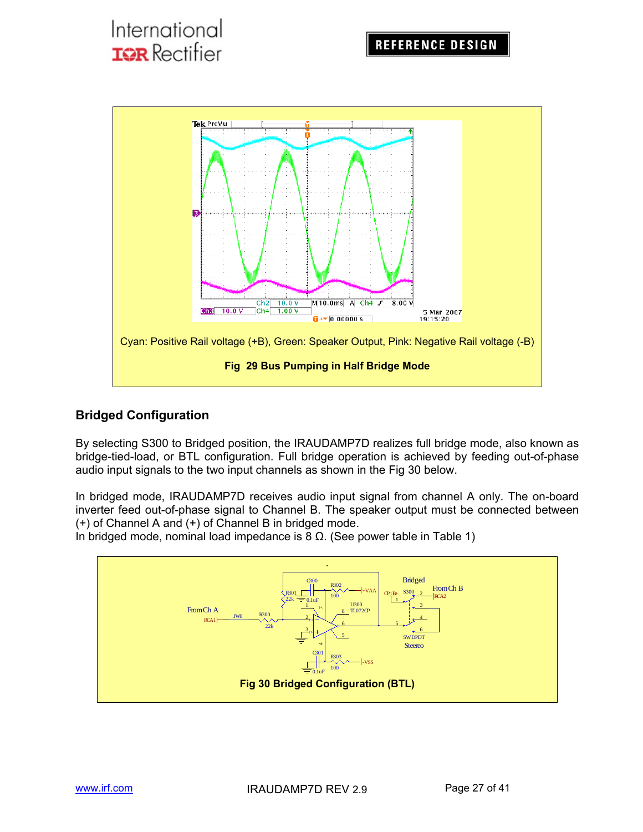

## **Bridged Configuration**

By selecting S300 to Bridged position, the IRAUDAMP7D realizes full bridge mode, also known as bridge-tied-load, or BTL configuration. Full bridge operation is achieved by feeding out-of-phase audio input signals to the two input channels as shown in the Fig 30 below.

In bridged mode, IRAUDAMP7D receives audio input signal from channel A only. The on-board inverter feed out-of-phase signal to Channel B. The speaker output must be connected between (+) of Channel A and (+) of Channel B in bridged mode.

In bridged mode, nominal load impedance is 8  $Ω$ . (See power table in Table 1)

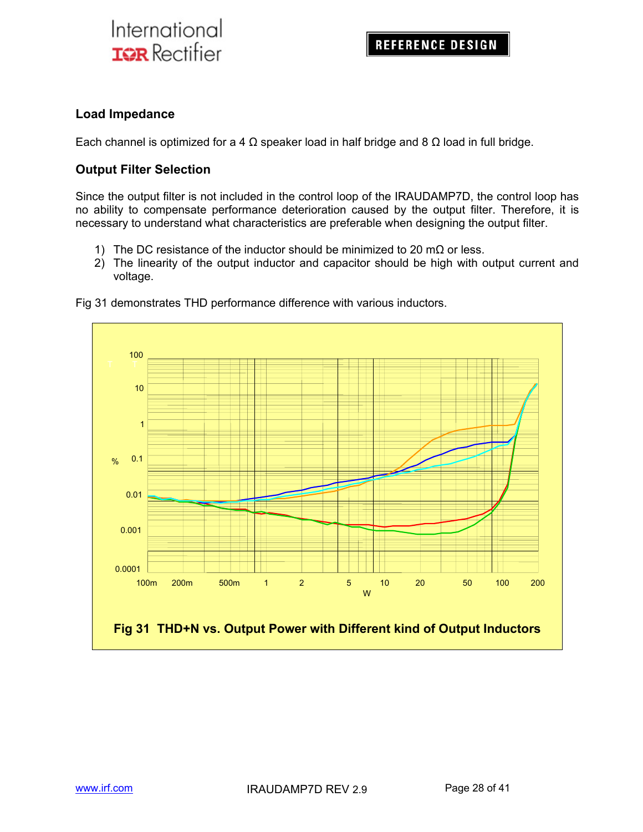### **Load Impedance**

Each channel is optimized for a 4  $\Omega$  speaker load in half bridge and 8  $\Omega$  load in full bridge.

### **Output Filter Selection**

Since the output filter is not included in the control loop of the IRAUDAMP7D, the control loop has no ability to compensate performance deterioration caused by the output filter. Therefore, it is necessary to understand what characteristics are preferable when designing the output filter.

- 1) The DC resistance of the inductor should be minimized to 20 m $\Omega$  or less.
- 2) The linearity of the output inductor and capacitor should be high with output current and voltage.



Fig 31 demonstrates THD performance difference with various inductors.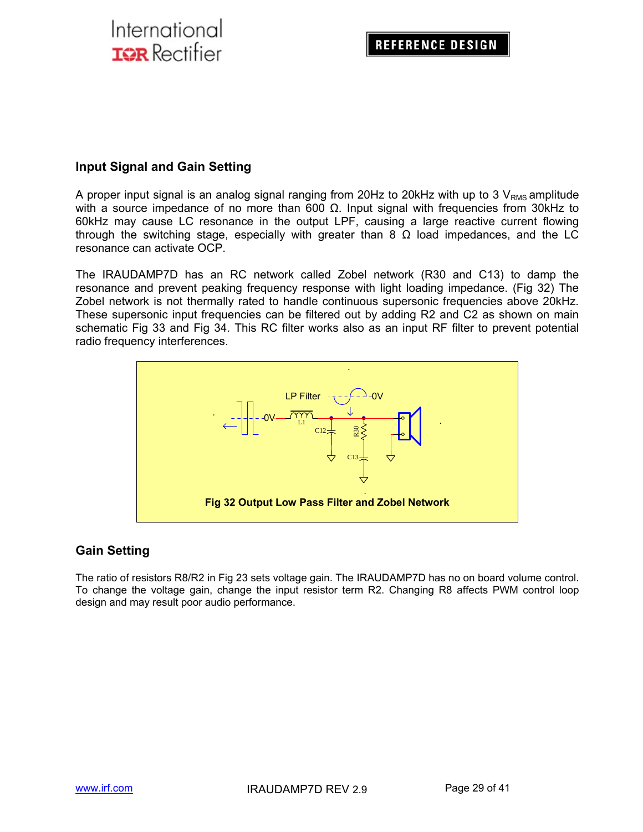### **Input Signal and Gain Setting**

A proper input signal is an analog signal ranging from 20Hz to 20kHz with up to 3  $V_{RMS}$  amplitude with a source impedance of no more than 600  $Ω$ . Input signal with frequencies from 30kHz to 60kHz may cause LC resonance in the output LPF, causing a large reactive current flowing through the switching stage, especially with greater than 8  $\Omega$  load impedances, and the LC resonance can activate OCP.

The IRAUDAMP7D has an RC network called Zobel network (R30 and C13) to damp the resonance and prevent peaking frequency response with light loading impedance. (Fig 32) The Zobel network is not thermally rated to handle continuous supersonic frequencies above 20kHz. These supersonic input frequencies can be filtered out by adding R2 and C2 as shown on main schematic Fig 33 and Fig 34. This RC filter works also as an input RF filter to prevent potential radio frequency interferences.



## **Gain Setting**

The ratio of resistors R8/R2 in Fig 23 sets voltage gain. The IRAUDAMP7D has no on board volume control. To change the voltage gain, change the input resistor term R2. Changing R8 affects PWM control loop design and may result poor audio performance.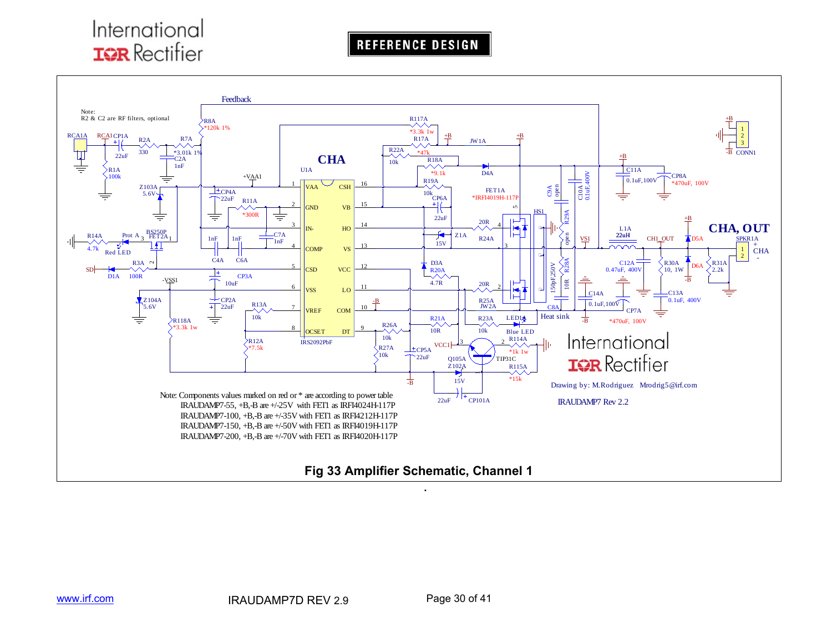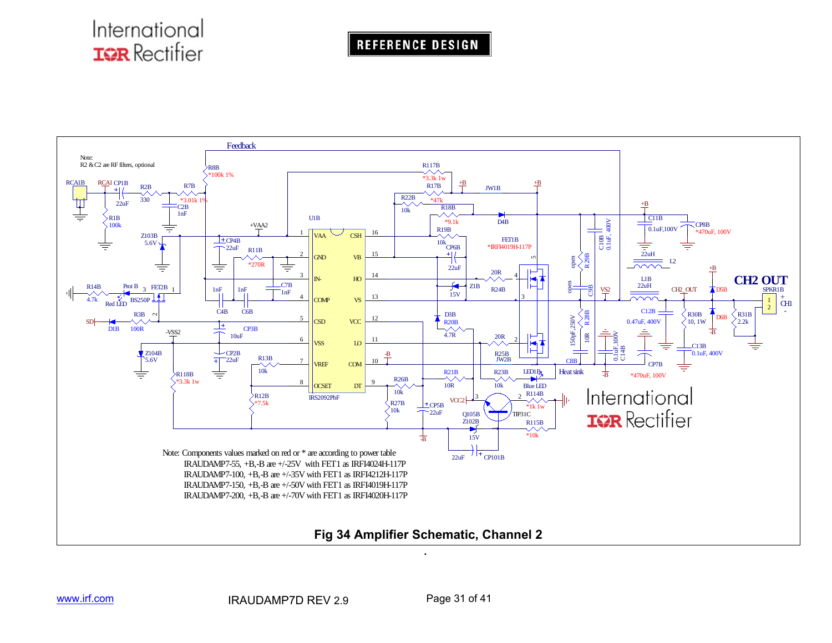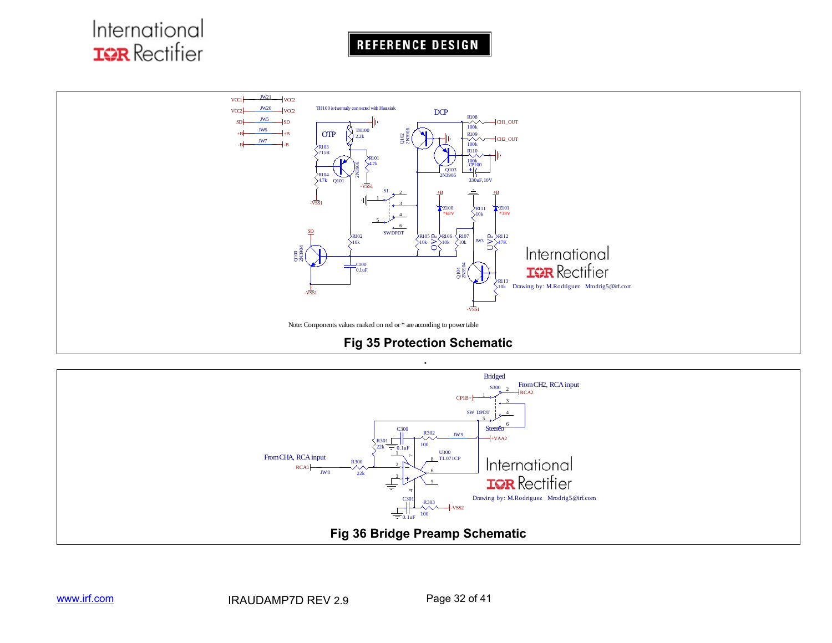

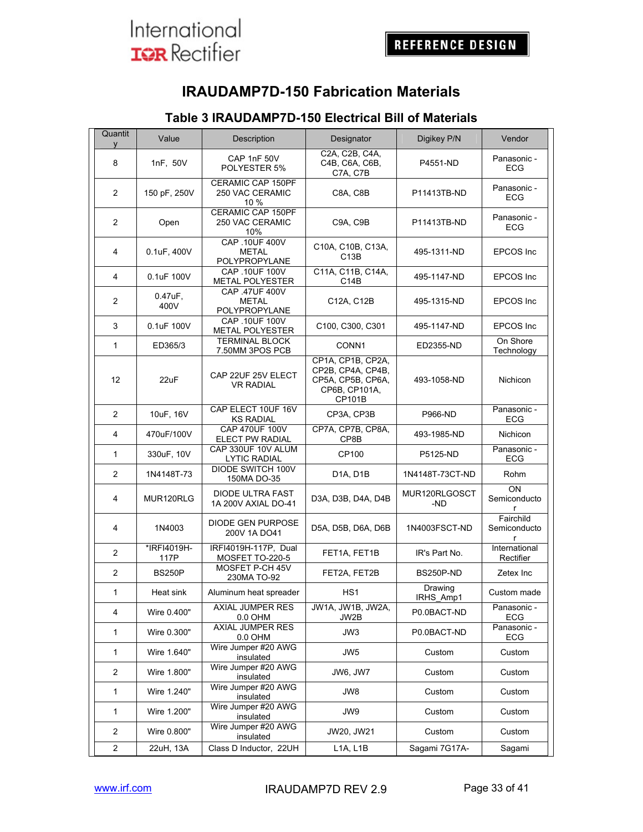

## **IRAUDAMP7D-150 Fabrication Materials**

## **Table 3 IRAUDAMP7D-150 Electrical Bill of Materials**

| Quantit<br>V            | Value                 | Description                                        | Designator                                                                             | Digikey P/N          | Vendor                                                    |  |
|-------------------------|-----------------------|----------------------------------------------------|----------------------------------------------------------------------------------------|----------------------|-----------------------------------------------------------|--|
| 8                       | 1nF, 50V              | CAP 1nF 50V<br>POLYESTER 5%                        | C2A, C2B, C4A,<br>C4B, C6A, C6B,<br>P4551-ND<br>C7A, C7B                               |                      | Panasonic -<br><b>ECG</b>                                 |  |
| $\overline{2}$          | 150 pF, 250V          | <b>CERAMIC CAP 150PF</b><br>250 VAC CERAMIC<br>10% | C8A, C8B                                                                               | P11413TB-ND          | Panasonic -<br><b>ECG</b>                                 |  |
| $\overline{2}$          | Open                  | <b>CERAMIC CAP 150PF</b><br>250 VAC CERAMIC<br>10% | C9A, C9B                                                                               | P11413TB-ND          | Panasonic -<br><b>ECG</b>                                 |  |
| 4                       | 0.1uF, 400V           | CAP .10UF 400V<br><b>METAL</b><br>POLYPROPYLANE    | C10A, C10B, C13A,<br>C <sub>13</sub> B                                                 | 495-1311-ND          | EPCOS Inc.                                                |  |
| 4                       | 0.1uF 100V            | CAP .10UF 100V<br>METAL POLYESTER                  | C11A, C11B, C14A,<br>C14B                                                              | 495-1147-ND          | EPCOS Inc.                                                |  |
| $\overline{c}$          | $0.47$ u $F1$<br>400V | CAP 47UF 400V<br><b>METAL</b><br>POLYPROPYLANE     | C12A, C12B                                                                             | 495-1315-ND          | <b>EPCOS</b> Inc                                          |  |
| 3                       | 0.1uF 100V            | CAP .10UF 100V<br><b>METAL POLYESTER</b>           | C100, C300, C301                                                                       | 495-1147-ND          | <b>EPCOS Inc</b>                                          |  |
| $\mathbf{1}$            | ED365/3               | <b>TERMINAL BLOCK</b><br>7.50MM 3POS PCB           | CONN1                                                                                  | ED2355-ND            | On Shore<br>Technology                                    |  |
| 12                      | 22uF                  | CAP 22UF 25V ELECT<br><b>VR RADIAL</b>             | CP1A, CP1B, CP2A,<br>CP2B, CP4A, CP4B,<br>CP5A. CP5B. CP6A.<br>CP6B, CP101A,<br>CP101B | 493-1058-ND          | Nichicon                                                  |  |
| $\overline{2}$          | 10uF, 16V             | CAP ELECT 10UF 16V<br><b>KS RADIAL</b>             | CP3A, CP3B                                                                             | <b>P966-ND</b>       | Panasonic -<br><b>ECG</b>                                 |  |
| 4                       | 470uF/100V            | <b>CAP 470UF 100V</b><br>ELECT PW RADIAL           | CP7A, CP7B, CP8A.<br>CP8B                                                              | 493-1985-ND          | Nichicon                                                  |  |
| $\mathbf{1}$            | 330uF, 10V            | CAP 330UF 10V ALUM<br><b>LYTIC RADIAL</b>          | CP100                                                                                  | P5125-ND             | Panasonic -<br><b>ECG</b>                                 |  |
| $\overline{2}$          | 1N4148T-73            | DIODE SWITCH 100V<br>150MA DO-35                   | D <sub>1</sub> A, D <sub>1</sub> B                                                     | 1N4148T-73CT-ND      | Rohm                                                      |  |
| 4                       | MUR120RLG             | DIODE ULTRA FAST<br>1A 200V AXIAL DO-41            | D3A, D3B, D4A, D4B                                                                     | MUR120RLGOSCT<br>-ND | ON<br>Semiconducto<br>r                                   |  |
| 4                       | 1N4003                | DIODE GEN PURPOSE<br>200V 1A DO41                  | D5A, D5B, D6A, D6B                                                                     | 1N4003FSCT-ND        | Fairchild<br>Semiconducto<br>r                            |  |
| 2                       | *IRFI4019H-<br>117P   | IRFI4019H-117P, Dual<br>MOSFET TO-220-5            | FET1A, FET1B                                                                           | IR's Part No.        | Rectifier                                                 |  |
| 2                       | <b>BS250P</b>         | MOSFET P-CH 45V<br>230MA TO-92                     | FET2A, FET2B                                                                           | BS250P-ND            | Zetex Inc                                                 |  |
| 1                       | Heat sink             | Aluminum heat spreader                             | HS <sub>1</sub>                                                                        | Drawing<br>IRHS Amp1 | International<br>Custom made<br>Panasonic -<br><b>ECG</b> |  |
| 4                       | Wire 0.400"           | <b>AXIAL JUMPER RES</b><br>0.0 OHM                 | JW1A, JW1B, JW2A,<br>JW2B                                                              | P0.0BACT-ND          |                                                           |  |
| $\mathbf{1}$            | Wire 0.300"           | AXIAL JUMPER RES<br>0.0 OHM                        | JW3                                                                                    | P0.0BACT-ND          | Panasonic -<br>ECG                                        |  |
| $\mathbf{1}$            | Wire 1.640"           | Wire Jumper #20 AWG<br>insulated                   | JW <sub>5</sub>                                                                        | Custom               | Custom                                                    |  |
| 2                       | Wire 1.800"           | Wire Jumper #20 AWG<br>insulated                   | JW6, JW7                                                                               | Custom               | Custom                                                    |  |
| $\mathbf{1}$            | Wire 1.240"           | Wire Jumper #20 AWG<br>insulated                   | JW8                                                                                    | Custom               | Custom                                                    |  |
| $\mathbf{1}$            | Wire 1.200"           | Wire Jumper #20 AWG<br>insulated                   | JW9                                                                                    | Custom               | Custom                                                    |  |
| 2                       | Wire 0.800"           | Wire Jumper #20 AWG<br>insulated                   | JW20, JW21                                                                             | Custom               | Custom                                                    |  |
| $\overline{\mathbf{c}}$ | 22uH, 13A             | Class D Inductor, 22UH                             | L1A, L1B                                                                               | Sagami 7G17A-        | Sagami                                                    |  |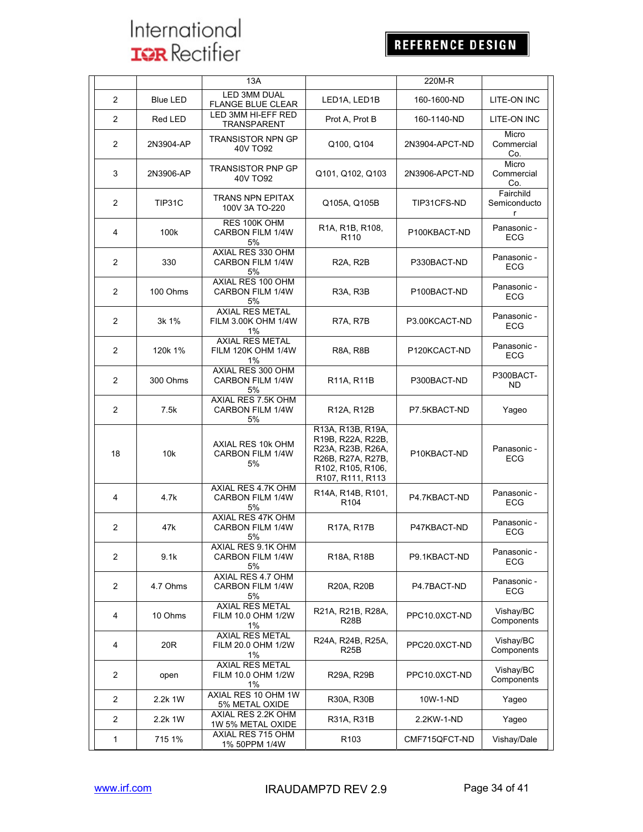|                |                 | 13A                                                       | 220M-R                                                                                                                    |                             |                                           |
|----------------|-----------------|-----------------------------------------------------------|---------------------------------------------------------------------------------------------------------------------------|-----------------------------|-------------------------------------------|
| 2              | <b>Blue LED</b> | <b>LED 3MM DUAL</b><br><b>FLANGE BLUE CLEAR</b>           | 160-1600-ND<br>LED1A, LED1B<br>Prot A, Prot B<br>160-1140-ND                                                              |                             | LITE-ON INC                               |
| 2              | Red LED         | LED 3MM HI-EFF RED<br>TRANSPARENT                         |                                                                                                                           |                             | LITE-ON INC                               |
| 2              | 2N3904-AP       | <b>TRANSISTOR NPN GP</b><br>40V TO92                      | Q100, Q104                                                                                                                | 2N3904-APCT-ND              | Micro<br>Commercial<br>Co.                |
| 3              | 2N3906-AP       | <b>TRANSISTOR PNP GP</b><br>40V TO92                      | Q101, Q102, Q103                                                                                                          | 2N3906-APCT-ND              | Micro<br>Commercial<br>Co.                |
| 2              | TIP31C          | <b>TRANS NPN EPITAX</b><br>100V 3A TO-220                 | Q105A, Q105B                                                                                                              | TIP31CFS-ND                 | Fairchild<br>Semiconducto<br>$\mathsf{r}$ |
| 4              | 100k            | RES 100K OHM<br>CARBON FILM 1/4W<br>5%                    | R1A, R1B, R108,<br>R <sub>110</sub>                                                                                       | P100KBACT-ND                | Panasonic -<br><b>ECG</b>                 |
| 2              | 330             | AXIAL RES 330 OHM<br>CARBON FILM 1/4W<br>5%               | <b>R2A, R2B</b>                                                                                                           | P330BACT-ND                 | Panasonic -<br>ECG                        |
| 2              | 100 Ohms        | AXIAL RES 100 OHM<br>CARBON FILM 1/4W<br>5%               | R3A, R3B                                                                                                                  | P100BACT-ND                 | Panasonic -<br><b>ECG</b>                 |
| 2              | 3k 1%           | <b>AXIAL RES METAL</b><br>FILM 3.00K OHM 1/4W<br>1%       | R7A, R7B                                                                                                                  | P3.00KCACT-ND               | Panasonic -<br><b>ECG</b>                 |
| 2              | 120k 1%         | <b>AXIAL RES METAL</b><br><b>FILM 120K OHM 1/4W</b><br>1% | <b>R8A, R8B</b>                                                                                                           | P120KCACT-ND                | Panasonic -<br><b>ECG</b>                 |
| 2              | 300 Ohms        | AXIAL RES 300 OHM<br>CARBON FILM 1/4W<br>5%               | R11A, R11B                                                                                                                | P300BACT-ND                 | P300BACT-<br>ND.                          |
| 2              | 7.5k            | AXIAL RES 7.5K OHM<br>CARBON FILM 1/4W<br>5%              | R12A, R12B                                                                                                                | P7.5KBACT-ND                | Yageo                                     |
| 18             | 10k             | AXIAL RES 10k OHM<br><b>CARBON FILM 1/4W</b><br>5%        | R13A, R13B, R19A,<br>R19B, R22A, R22B,<br>R23A, R23B, R26A,<br>R26B, R27A, R27B,<br>R102, R105, R106,<br>R107, R111, R113 | P10KBACT-ND<br>P4.7KBACT-ND | Panasonic -<br><b>ECG</b>                 |
| 4              | 4.7k            | AXIAL RES 4.7K OHM<br><b>CARBON FILM 1/4W</b><br>5%       | R14A, R14B, R101,<br>R <sub>104</sub>                                                                                     |                             | Panasonic -<br><b>ECG</b>                 |
| 2              | 47k             | AXIAL RES 47K OHM<br>CARBON FILM 1/4W<br>5%               | R17A, R17B                                                                                                                | P47KBACT-ND                 | Panasonic -<br><b>ECG</b>                 |
| 2              | 9.1k            | AXIAL RES 9.1K OHM<br>CARBON FILM 1/4W<br>5%              | R18A, R18B                                                                                                                | P9.1KBACT-ND                | Panasonic -<br>ECG                        |
| 2              | 4.7 Ohms        | AXIAL RES 4.7 OHM<br><b>CARBON FILM 1/4W</b><br>5%        | R20A, R20B                                                                                                                | P4.7BACT-ND                 | Panasonic -<br><b>ECG</b>                 |
| 4              | 10 Ohms         | AXIAL RES METAL<br>FILM 10.0 OHM 1/2W<br>1%               | R21A, R21B, R28A,<br>R28B                                                                                                 | PPC10.0XCT-ND               | Vishay/BC<br>Components                   |
| 4              | 20R             | <b>AXIAL RES METAL</b><br>FILM 20.0 OHM 1/2W<br>1%        | R24A, R24B, R25A,<br>R25B                                                                                                 | PPC20.0XCT-ND               | Vishay/BC<br>Components                   |
| 2              | open            | AXIAL RES METAL<br>FILM 10.0 OHM 1/2W<br>1%               | R29A, R29B                                                                                                                | PPC10.0XCT-ND               | Vishay/BC<br>Components                   |
| 2              | 2.2k 1W         | AXIAL RES 10 OHM 1W<br>5% METAL OXIDE                     | R30A, R30B                                                                                                                | 10W-1-ND                    | Yageo                                     |
| $\overline{2}$ | 2.2k 1W         | AXIAL RES 2.2K OHM<br>1W 5% METAL OXIDE                   | R31A, R31B                                                                                                                | 2.2KW-1-ND                  | Yageo                                     |
| 1              | 715 1%          | AXIAL RES 715 OHM<br>1% 50PPM 1/4W                        | R <sub>103</sub>                                                                                                          | CMF715QFCT-ND               | Vishay/Dale                               |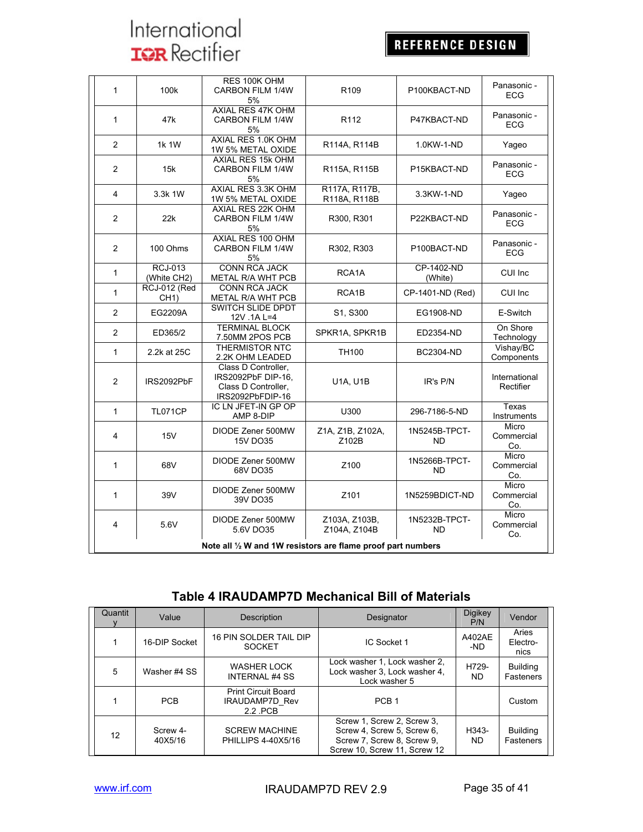## REFERENCE DESIGN

| 1              | 100k                                                         | RES 100K OHM<br><b>CARBON FILM 1/4W</b><br>5%                                        | R <sub>109</sub><br>P100KBACT-ND |                            | Panasonic -<br><b>ECG</b>  |  |  |
|----------------|--------------------------------------------------------------|--------------------------------------------------------------------------------------|----------------------------------|----------------------------|----------------------------|--|--|
| $\mathbf{1}$   | 47k                                                          | AXIAL RES 47K OHM<br>CARBON FILM 1/4W<br>5%                                          | R <sub>112</sub>                 | P47KBACT-ND                | Panasonic -<br><b>ECG</b>  |  |  |
| $\overline{2}$ | 1k 1W                                                        | AXIAL RES 1.0K OHM<br>1W 5% METAL OXIDE                                              | R114A, R114B                     | 1.0KW-1-ND                 | Yaqeo                      |  |  |
| $\overline{2}$ | 15k                                                          | AXIAL RES 15k OHM<br><b>CARBON FILM 1/4W</b><br>5%                                   | R115A, R115B                     | P15KBACT-ND                | Panasonic -<br><b>ECG</b>  |  |  |
| 4              | 3.3k 1W                                                      | AXIAL RES 3.3K OHM<br>1W 5% METAL OXIDE                                              | R117A, R117B,<br>R118A, R118B    | 3.3KW-1-ND                 | Yageo                      |  |  |
| $\overline{2}$ | 22k                                                          | AXIAL RES 22K OHM<br><b>CARBON FILM 1/4W</b><br>5%                                   | R300, R301                       | P22KBACT-ND                | Panasonic -<br><b>ECG</b>  |  |  |
| 2              | 100 Ohms                                                     | AXIAL RES 100 OHM<br>CARBON FILM 1/4W<br>5%                                          | R302, R303                       | P100BACT-ND                | Panasonic -<br><b>ECG</b>  |  |  |
| 1              | <b>RCJ-013</b><br>(White CH2)                                | <b>CONN RCA JACK</b><br>METAL R/A WHT PCB                                            | RCA <sub>1</sub> A               | CP-1402-ND<br>(White)      | CUI Inc                    |  |  |
| $\mathbf{1}$   | <b>RCJ-012 (Red</b><br>CH <sub>1</sub> )                     | <b>CONN RCA JACK</b><br>RCA1B<br>METAL R/A WHT PCB                                   |                                  | CP-1401-ND (Red)           | CUI Inc                    |  |  |
| $\overline{c}$ | EG2209A                                                      | <b>SWITCH SLIDE DPDT</b><br>12V 1A L=4                                               | S1, S300                         | EG1908-ND                  | E-Switch                   |  |  |
| $\overline{2}$ | ED365/2                                                      | <b>TERMINAL BLOCK</b><br>7.50MM 2POS PCB                                             | SPKR1A, SPKR1B                   | ED2354-ND                  | On Shore<br>Technology     |  |  |
| $\mathbf{1}$   | 2.2k at 25C                                                  | <b>THERMISTOR NTC</b><br>2.2K OHM LEADED                                             | TH100                            | <b>BC2304-ND</b>           | Vishay/BC<br>Components    |  |  |
| $\overline{2}$ | IRS2092PbF                                                   | Class D Controller.<br>IRS2092PbF DIP-16,<br>Class D Controller,<br>IRS2092PbFDIP-16 | <b>U1A, U1B</b><br>IR's P/N      |                            | International<br>Rectifier |  |  |
| $\mathbf{1}$   | <b>TL071CP</b>                                               | IC LN JFET-IN GP OP<br>AMP 8-DIP                                                     | U300                             | 296-7186-5-ND              | Texas<br>Instruments       |  |  |
| 4              | 15V                                                          | DIODE Zener 500MW<br><b>15V DO35</b>                                                 | Z1A, Z1B, Z102A,<br>Z102B        | 1N5245B-TPCT-<br>ND.       | Micro<br>Commercial<br>Co. |  |  |
| 1              | 68V                                                          | DIODE Zener 500MW<br>68V DO35                                                        |                                  | 1N5266B-TPCT-<br>ND.       | Micro<br>Commercial<br>Co. |  |  |
| 1              | 39V                                                          | DIODE Zener 500MW<br>39V DO35                                                        | Z101                             | 1N5259BDICT-ND             | Micro<br>Commercial<br>Co. |  |  |
| 4              | 5.6V                                                         | DIODE Zener 500MW<br>5.6V DO35                                                       | Z103A, Z103B,<br>Z104A, Z104B    | 1N5232B-TPCT-<br><b>ND</b> | Micro<br>Commercial<br>Co. |  |  |
|                | Note all 1/2 W and 1W resistors are flame proof part numbers |                                                                                      |                                  |                            |                            |  |  |

## **Table 4 IRAUDAMP7D Mechanical Bill of Materials**

| Quantit | <b>Description</b><br>Value |                                                                | Designator                                                                                                             | <b>Digikey</b><br>P/N | Vendor                       |
|---------|-----------------------------|----------------------------------------------------------------|------------------------------------------------------------------------------------------------------------------------|-----------------------|------------------------------|
|         | 16-DIP Socket               | 16 PIN SOLDER TAIL DIP<br><b>SOCKET</b>                        | IC Socket 1                                                                                                            | A402AE<br>-ND         | Aries<br>Electro-<br>nics    |
| 5       | Washer #4 SS                | WASHER LOCK<br><b>INTERNAL #4 SS</b>                           | Lock washer 1, Lock washer 2,<br>Lock washer 3, Lock washer 4,<br>Lock washer 5                                        | H729-<br><b>ND</b>    | <b>Building</b><br>Fasteners |
|         | <b>PCB</b>                  | <b>Print Circuit Board</b><br><b>IRAUDAMP7D Rev</b><br>2.2 PCB | PCB <sub>1</sub>                                                                                                       |                       | Custom                       |
| 12      | Screw 4-<br>40X5/16         | <b>SCREW MACHINE</b><br><b>PHILLIPS 4-40X5/16</b>              | Screw 1, Screw 2, Screw 3,<br>Screw 4, Screw 5, Screw 6,<br>Screw 7, Screw 8, Screw 9,<br>Screw 10. Screw 11. Screw 12 | H343-<br>ND.          | <b>Building</b><br>Fasteners |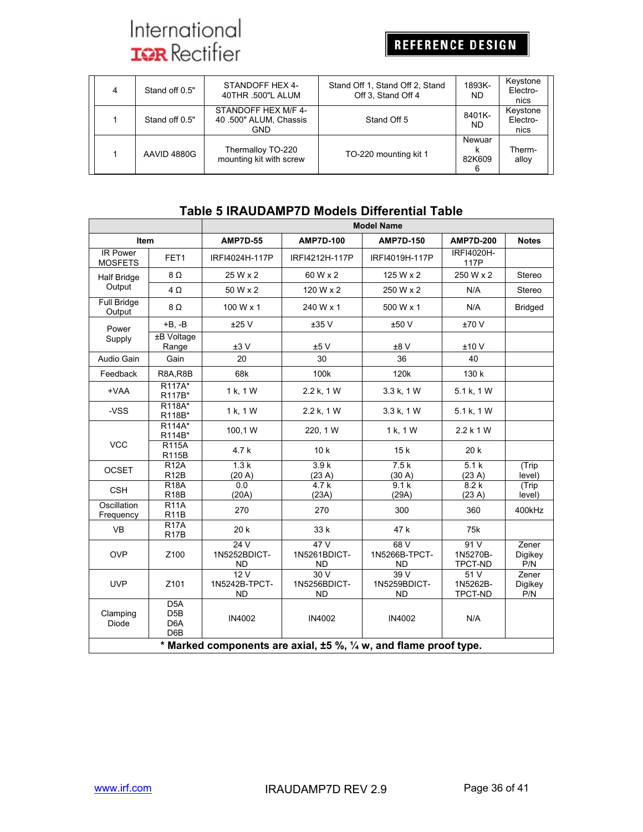REFERENCE DESIGN

| 4 | Stand off 0.5" | STANDOFF HEX 4-<br>40THR .500"L ALUM                       | Stand Off 1, Stand Off 2, Stand<br>Off 3, Stand Off 4 | 1893K-<br>ND.         | Keystone<br>Electro-<br>nics |
|---|----------------|------------------------------------------------------------|-------------------------------------------------------|-----------------------|------------------------------|
|   | Stand off 0.5" | STANDOFF HEX M/F 4-<br>40.500" ALUM, Chassis<br><b>GND</b> | Stand Off 5                                           | 8401K-<br><b>ND</b>   | Keystone<br>Electro-<br>nics |
|   | AAVID 4880G    | Thermalloy TO-220<br>mounting kit with screw               | TO-220 mounting kit 1                                 | Newuar<br>82K609<br>6 | Therm-<br>alloy              |

## **Table 5 IRAUDAMP7D Models Differential Table**

|                                   |                                                                   | <b>Model Name</b>                 |                                  |                                  |                                    |                         |
|-----------------------------------|-------------------------------------------------------------------|-----------------------------------|----------------------------------|----------------------------------|------------------------------------|-------------------------|
| Item                              |                                                                   | <b>AMP7D-55</b>                   | <b>AMP7D-100</b>                 | <b>AMP7D-150</b>                 | <b>AMP7D-200</b>                   | <b>Notes</b>            |
| <b>IR Power</b><br><b>MOSFETS</b> | FET1                                                              | IRFI4024H-117P                    | IRFI4212H-117P                   | IRFI4019H-117P                   | <b>IRFI4020H-</b><br>117P          |                         |
| <b>Half Bridge</b>                | 8 $\Omega$                                                        | 25 W x 2                          | 60 W x 2                         | 125 W x 2                        | 250 W x 2                          | Stereo                  |
| Output                            | $4\Omega$                                                         | 50 W x 2                          | 120 W x 2                        | 250 W x 2                        | N/A                                | Stereo                  |
| <b>Full Bridge</b><br>Output      | 8Ω                                                                | 100 W x 1                         | 240 W x 1                        | 500 W x 1                        | N/A                                | <b>Bridged</b>          |
| Power                             | $+B, -B$                                                          | ±25V                              | ±35V                             | ±50 V                            | ±70V                               |                         |
| Supply                            | ±B Voltage<br>Range                                               | ±3V                               | ±5V                              | ±8V                              | ±10V                               |                         |
| Audio Gain                        | Gain                                                              | 20                                | 30                               | 36                               | 40                                 |                         |
| Feedback                          | <b>R8A, R8B</b>                                                   | 68k                               | 100k                             | 120 <sub>k</sub>                 | 130 k                              |                         |
| +VAA                              | R <sub>117A</sub> *<br>R117B*                                     | 1 k, 1 W                          | 2.2 k, 1 W                       | 3.3 k, 1 W                       | 5.1 k, 1 W                         |                         |
| -VSS                              | R118A*<br>R118B*                                                  | 1 k, 1 W                          | 2.2 k, 1 W                       | 3.3 k, 1 W                       | 5.1 k, 1 W                         |                         |
|                                   | R114A*<br>R114B*                                                  | 100,1 W                           | 220, 1 W                         | 1 k, 1 W                         | 2.2 k 1 W                          |                         |
| <b>VCC</b>                        | <b>R115A</b><br><b>R115B</b>                                      | 4.7 k                             | 10k                              | 15k                              | 20 k                               |                         |
| <b>OCSET</b>                      | <b>R12A</b><br>R <sub>12</sub> B                                  | 1.3k<br>(20 A)                    | 3.9k<br>(23 A)                   | 7.5k<br>(30 A)                   | 5.1k<br>(23 A)                     | (Trip<br>level)         |
| <b>CSH</b>                        | <b>R18A</b><br><b>R18B</b>                                        | 0.0<br>(20A)                      | 4.7k<br>(23A)                    | 9.1k<br>(29A)                    | 8.2k<br>(23 A)                     | (Trip<br>level)         |
| Oscillation<br>Frequency          | R11A<br>R <sub>11</sub> B                                         | 270                               | 270                              | 300                              | 360                                | 400kHz                  |
| <b>VB</b>                         | R17A<br>R <sub>17</sub> B                                         | 20k                               | 33 k                             | 47 k                             | 75k                                |                         |
| <b>OVP</b>                        | Z100                                                              | 24V<br>1N5252BDICT-<br>ND         | 47V<br>1N5261BDICT-<br>ND        | 68V<br>1N5266B-TPCT-<br>ND.      | 91 V<br>1N5270B-<br><b>TPCT-ND</b> | Zener<br>Digikey<br>P/N |
| <b>UVP</b>                        | Z101                                                              | 12V<br>1N5242B-TPCT-<br><b>ND</b> | 30V<br>1N5256BDICT-<br><b>ND</b> | 39V<br>1N5259BDICT-<br><b>ND</b> | 51V<br>1N5262B-<br>TPCT-ND         | Zener<br>Digikey<br>P/N |
| Clamping<br><b>Diode</b>          | D <sub>5</sub> A<br>D <sub>5</sub> B<br>D <sub>6</sub> A<br>D6B   | IN4002                            | IN4002                           | IN4002                           | N/A                                |                         |
|                                   | * Marked components are axial, ±5 %, 1/4 w, and flame proof type. |                                   |                                  |                                  |                                    |                         |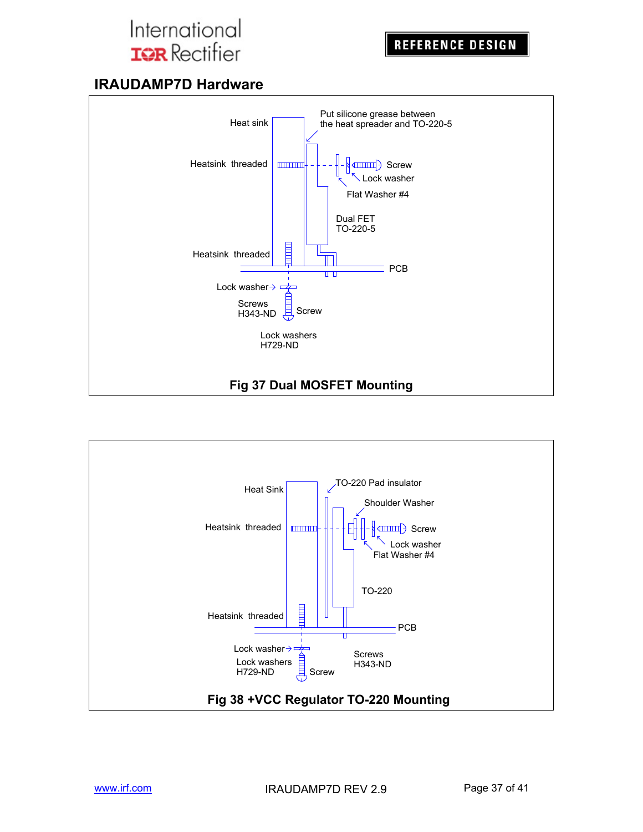## **IRAUDAMP7D Hardware**



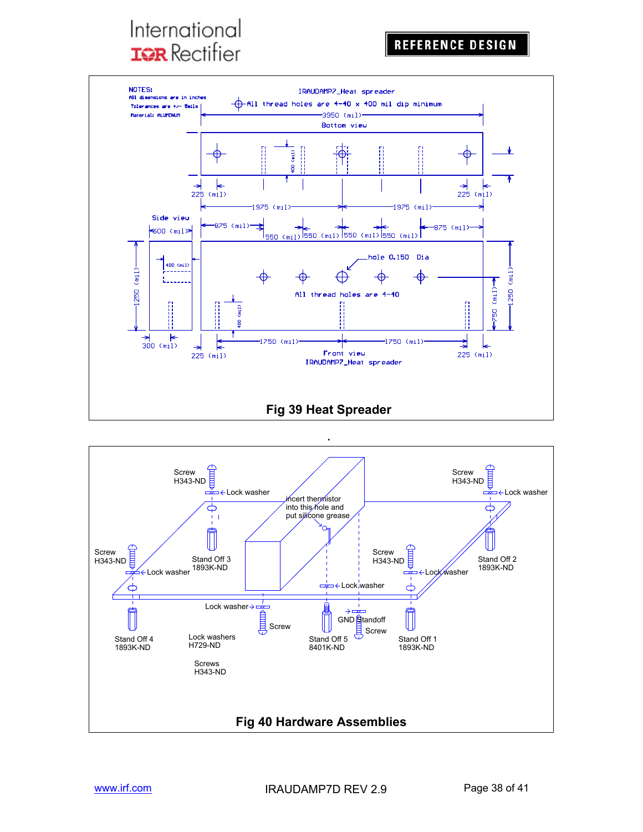

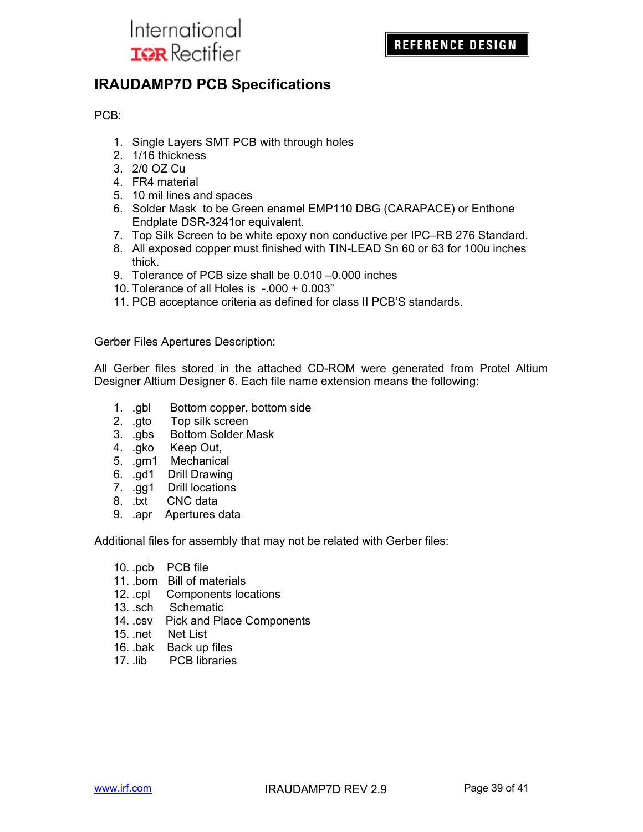

## **IRAUDAMP7D PCB Specifications**

PCB:

- 1. Single Layers SMT PCB with through holes
- 2. 1/16 thickness
- 3. 2/0 OZ Cu
- 4. FR4 material
- 5. 10 mil lines and spaces
- 6. Solder Mask to be Green enamel EMP110 DBG (CARAPACE) or Enthone Endplate DSR-3241or equivalent.
- 7. Top Silk Screen to be white epoxy non conductive per IPC–RB 276 Standard.
- 8. All exposed copper must finished with TIN-LEAD Sn 60 or 63 for 100u inches thick.
- 9. Tolerance of PCB size shall be 0.010 –0.000 inches
- 10. Tolerance of all Holes is -.000 + 0.003"
- 11. PCB acceptance criteria as defined for class II PCB'S standards.

Gerber Files Apertures Description:

All Gerber files stored in the attached CD-ROM were generated from Protel Altium Designer Altium Designer 6. Each file name extension means the following:

- 1. .gbl Bottom copper, bottom side
- 2. .gto Top silk screen
- 3. .gbs Bottom Solder Mask
- 4. .gko Keep Out,
- 5. .gm1 Mechanical
- 6. .gd1 Drill Drawing
- 7. .gg1 Drill locations
- 8. .txt CNC data
- 9. .apr Apertures data

Additional files for assembly that may not be related with Gerber files:

- 10. .pcb PCB file
- 11. .bom Bill of materials
- 12. .cpl Components locations
- 13. .sch Schematic
- 14. .csv Pick and Place Components
- 15. .net Net List
- 16. .bak Back up files
- 17. .lib PCB libraries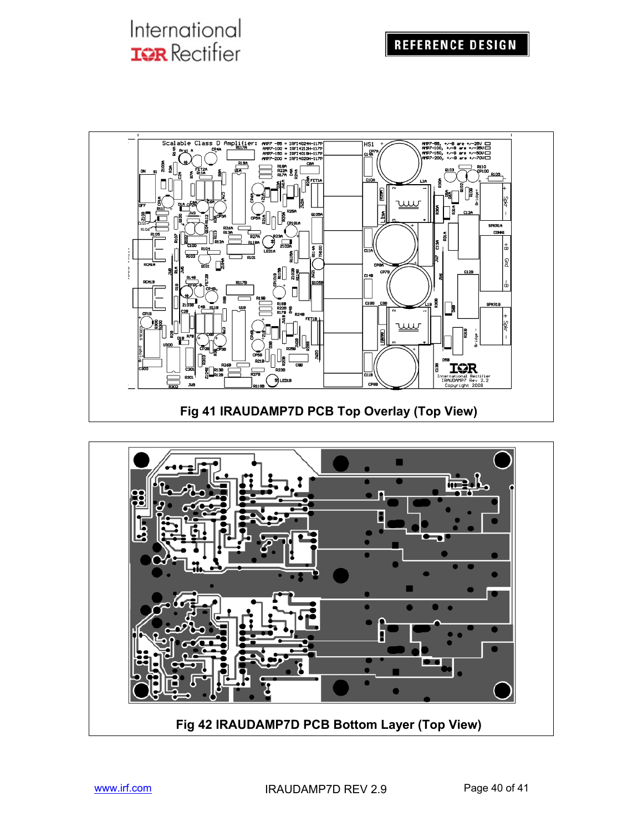